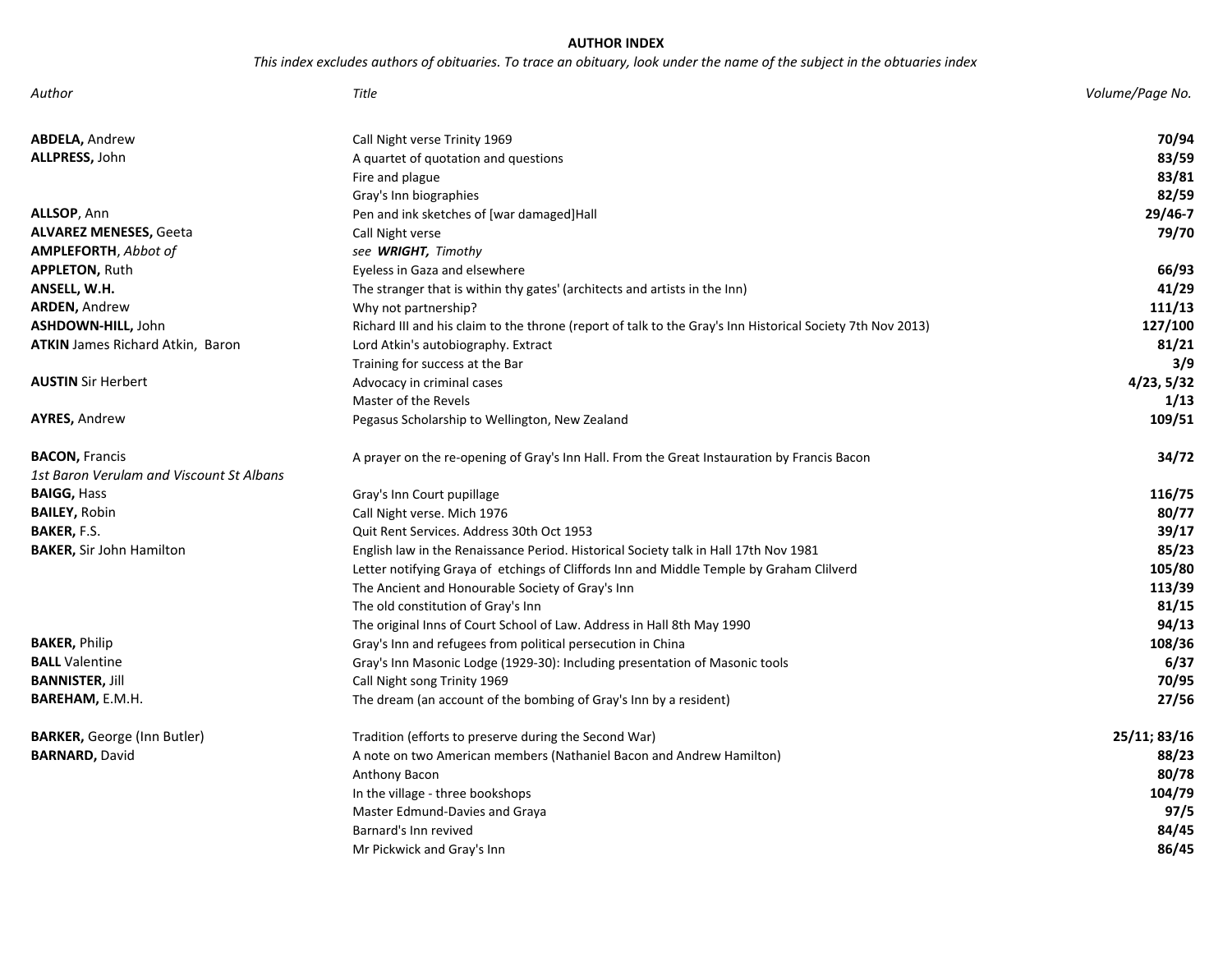# **AUTHOR INDEX**

*This index excludes authors of obituaries. To trace an obituary, look under the name of the subject in the obtuaries index* 

| Author                                   | <b>Title</b>                                                                                               | Volume/Page No. |
|------------------------------------------|------------------------------------------------------------------------------------------------------------|-----------------|
| <b>ABDELA, Andrew</b>                    | Call Night verse Trinity 1969                                                                              | 70/94           |
| ALLPRESS, John                           | A quartet of quotation and questions                                                                       | 83/59           |
|                                          | Fire and plague                                                                                            | 83/81           |
|                                          | Gray's Inn biographies                                                                                     | 82/59           |
| ALLSOP, Ann                              | Pen and ink sketches of [war damaged]Hall                                                                  | 29/46-7         |
| <b>ALVAREZ MENESES, Geeta</b>            | Call Night verse                                                                                           | 79/70           |
| <b>AMPLEFORTH, Abbot of</b>              | see WRIGHT, Timothy                                                                                        |                 |
| <b>APPLETON, Ruth</b>                    | Eyeless in Gaza and elsewhere                                                                              | 66/93           |
| ANSELL, W.H.                             | The stranger that is within thy gates' (architects and artists in the Inn)                                 | 41/29           |
| <b>ARDEN, Andrew</b>                     | Why not partnership?                                                                                       | 111/13          |
| ASHDOWN-HILL, John                       | Richard III and his claim to the throne (report of talk to the Gray's Inn Historical Society 7th Nov 2013) | 127/100         |
| <b>ATKIN</b> James Richard Atkin, Baron  | Lord Atkin's autobiography. Extract                                                                        | 81/21           |
|                                          | Training for success at the Bar                                                                            | 3/9             |
| <b>AUSTIN</b> Sir Herbert                | Advocacy in criminal cases                                                                                 | 4/23, 5/32      |
|                                          | Master of the Revels                                                                                       | 1/13            |
| <b>AYRES, Andrew</b>                     | Pegasus Scholarship to Wellington, New Zealand                                                             | 109/51          |
| <b>BACON, Francis</b>                    | A prayer on the re-opening of Gray's Inn Hall. From the Great Instauration by Francis Bacon                | 34/72           |
| 1st Baron Verulam and Viscount St Albans |                                                                                                            |                 |
| <b>BAIGG, Hass</b>                       | Gray's Inn Court pupillage                                                                                 | 116/75          |
| <b>BAILEY, Robin</b>                     | Call Night verse. Mich 1976                                                                                | 80/77           |
| BAKER, F.S.                              | Quit Rent Services. Address 30th Oct 1953                                                                  | 39/17           |
| <b>BAKER, Sir John Hamilton</b>          | English law in the Renaissance Period. Historical Society talk in Hall 17th Nov 1981                       | 85/23           |
|                                          | Letter notifying Graya of etchings of Cliffords Inn and Middle Temple by Graham Clilverd                   | 105/80          |
|                                          | The Ancient and Honourable Society of Gray's Inn                                                           | 113/39          |
|                                          | The old constitution of Gray's Inn                                                                         | 81/15           |
|                                          | The original Inns of Court School of Law. Address in Hall 8th May 1990                                     | 94/13           |
| <b>BAKER, Philip</b>                     | Gray's Inn and refugees from political persecution in China                                                | 108/36          |
| <b>BALL</b> Valentine                    | Gray's Inn Masonic Lodge (1929-30): Including presentation of Masonic tools                                | 6/37            |
| <b>BANNISTER, Jill</b>                   | Call Night song Trinity 1969                                                                               | 70/95           |
| BAREHAM, E.M.H.                          | The dream (an account of the bombing of Gray's Inn by a resident)                                          | 27/56           |
| <b>BARKER, George (Inn Butler)</b>       | Tradition (efforts to preserve during the Second War)                                                      | 25/11; 83/16    |
| <b>BARNARD, David</b>                    | A note on two American members (Nathaniel Bacon and Andrew Hamilton)                                       | 88/23           |
|                                          | Anthony Bacon                                                                                              | 80/78           |
|                                          | In the village - three bookshops                                                                           | 104/79          |
|                                          | Master Edmund-Davies and Graya                                                                             | 97/5            |
|                                          | Barnard's Inn revived                                                                                      | 84/45           |
|                                          | Mr Pickwick and Gray's Inn                                                                                 | 86/45           |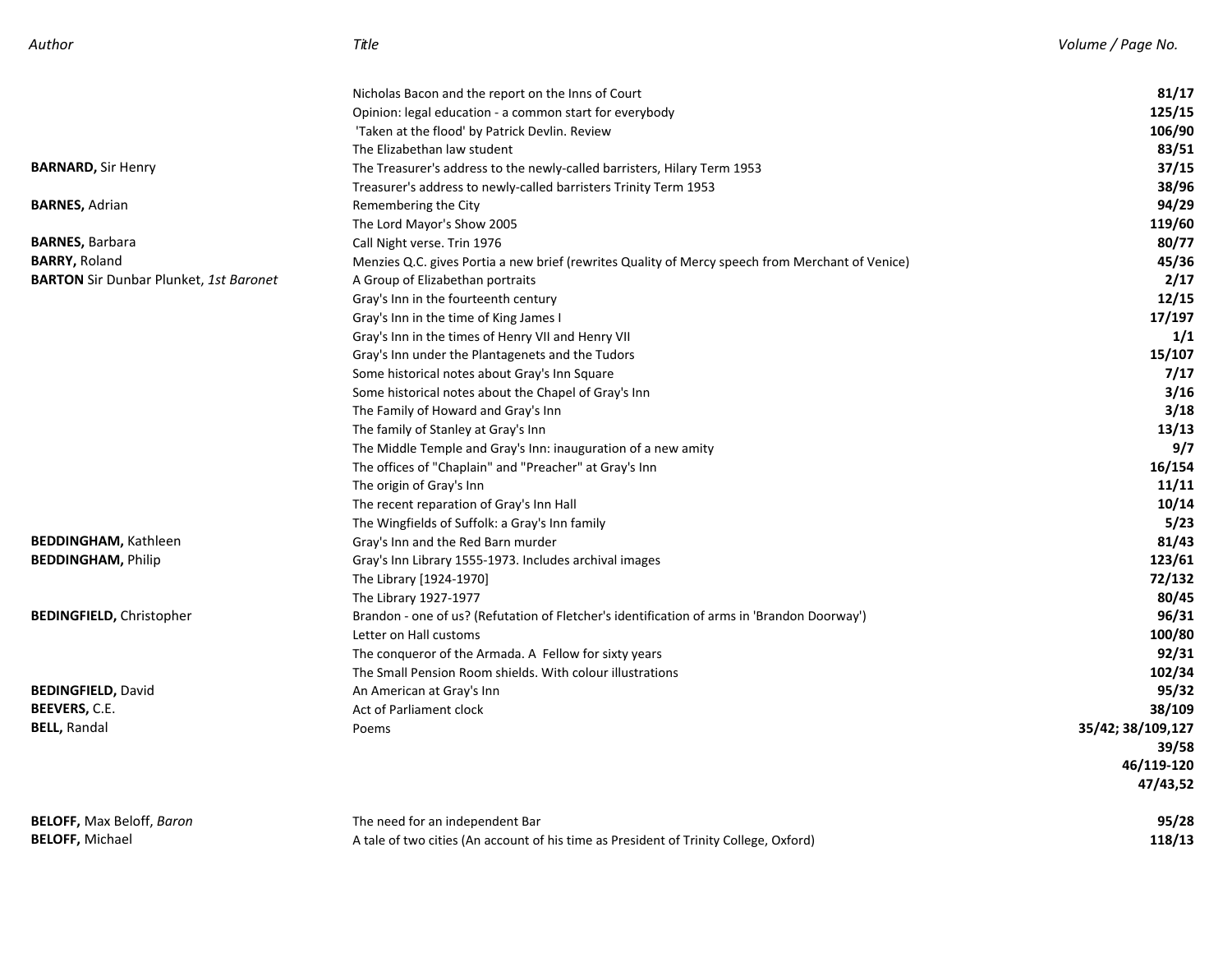| Author                                        | Title                                                                                            | Volume / Page No. |
|-----------------------------------------------|--------------------------------------------------------------------------------------------------|-------------------|
|                                               | Nicholas Bacon and the report on the Inns of Court                                               | 81/17             |
|                                               | Opinion: legal education - a common start for everybody                                          | 125/15            |
|                                               | 'Taken at the flood' by Patrick Devlin. Review                                                   | 106/90            |
|                                               | The Elizabethan law student                                                                      | 83/51             |
| <b>BARNARD, Sir Henry</b>                     | The Treasurer's address to the newly-called barristers, Hilary Term 1953                         | 37/15             |
|                                               | Treasurer's address to newly-called barristers Trinity Term 1953                                 | 38/96             |
| <b>BARNES, Adrian</b>                         | Remembering the City                                                                             | 94/29             |
|                                               | The Lord Mayor's Show 2005                                                                       | 119/60            |
| <b>BARNES, Barbara</b>                        | Call Night verse. Trin 1976                                                                      | 80/77             |
| <b>BARRY, Roland</b>                          | Menzies Q.C. gives Portia a new brief (rewrites Quality of Mercy speech from Merchant of Venice) | 45/36             |
| <b>BARTON</b> Sir Dunbar Plunket, 1st Baronet | A Group of Elizabethan portraits                                                                 | 2/17              |
|                                               | Gray's Inn in the fourteenth century                                                             | 12/15             |
|                                               | Gray's Inn in the time of King James I                                                           | 17/197            |
|                                               | Gray's Inn in the times of Henry VII and Henry VII                                               | 1/1               |
|                                               | Gray's Inn under the Plantagenets and the Tudors                                                 | 15/107            |
|                                               | Some historical notes about Gray's Inn Square                                                    | 7/17              |
|                                               | Some historical notes about the Chapel of Gray's Inn                                             | 3/16              |
|                                               | The Family of Howard and Gray's Inn                                                              | 3/18              |
|                                               | The family of Stanley at Gray's Inn                                                              | 13/13             |
|                                               | The Middle Temple and Gray's Inn: inauguration of a new amity                                    | 9/7               |
|                                               | The offices of "Chaplain" and "Preacher" at Gray's Inn                                           | 16/154            |
|                                               | The origin of Gray's Inn                                                                         | 11/11             |
|                                               | The recent reparation of Gray's Inn Hall                                                         | 10/14             |
|                                               | The Wingfields of Suffolk: a Gray's Inn family                                                   | 5/23              |
| <b>BEDDINGHAM, Kathleen</b>                   | Gray's Inn and the Red Barn murder                                                               | 81/43             |
| <b>BEDDINGHAM, Philip</b>                     | Gray's Inn Library 1555-1973. Includes archival images                                           | 123/61            |
|                                               | The Library [1924-1970]                                                                          | 72/132            |
|                                               | The Library 1927-1977                                                                            | 80/45             |
| <b>BEDINGFIELD, Christopher</b>               | Brandon - one of us? (Refutation of Fletcher's identification of arms in 'Brandon Doorway')      | 96/31             |
|                                               | Letter on Hall customs                                                                           | 100/80            |
|                                               | The conqueror of the Armada. A Fellow for sixty years                                            | 92/31             |
|                                               | The Small Pension Room shields. With colour illustrations                                        | 102/34            |
| <b>BEDINGFIELD, David</b>                     | An American at Gray's Inn                                                                        | 95/32             |
| <b>BEEVERS, C.E.</b>                          | Act of Parliament clock                                                                          | 38/109            |
| <b>BELL, Randal</b>                           | Poems                                                                                            | 35/42; 38/109,127 |
|                                               |                                                                                                  | 39/58             |
|                                               |                                                                                                  | 46/119-120        |
|                                               |                                                                                                  | 47/43,52          |
| <b>BELOFF, Max Beloff, Baron</b>              | The need for an independent Bar                                                                  | 95/28             |
| <b>BELOFF, Michael</b>                        | A tale of two cities (An account of his time as President of Trinity College, Oxford)            | 118/13            |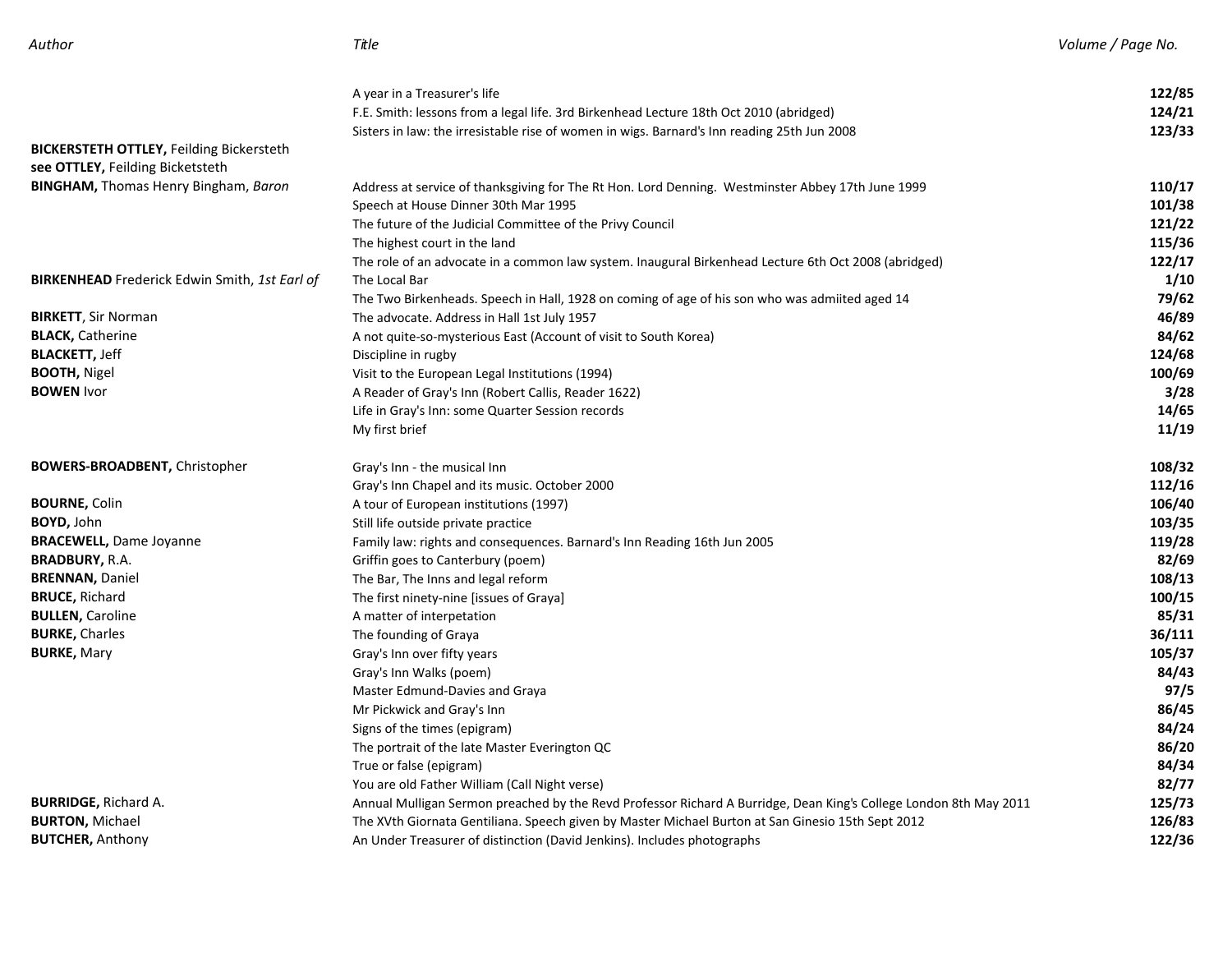| Volume / Page I |  |
|-----------------|--|
|-----------------|--|

| Author | Title | Volume / Page No. |
|--------|-------|-------------------|
|        |       |                   |

|                                                      | A year in a Treasurer's life                                                                                      | 122/85 |
|------------------------------------------------------|-------------------------------------------------------------------------------------------------------------------|--------|
|                                                      | F.E. Smith: lessons from a legal life. 3rd Birkenhead Lecture 18th Oct 2010 (abridged)                            | 124/21 |
|                                                      | Sisters in law: the irresistable rise of women in wigs. Barnard's Inn reading 25th Jun 2008                       | 123/33 |
| <b>BICKERSTETH OTTLEY, Feilding Bickersteth</b>      |                                                                                                                   |        |
| see OTTLEY, Feilding Bicketsteth                     |                                                                                                                   |        |
| <b>BINGHAM, Thomas Henry Bingham, Baron</b>          | Address at service of thanksgiving for The Rt Hon. Lord Denning. Westminster Abbey 17th June 1999                 | 110/17 |
|                                                      | Speech at House Dinner 30th Mar 1995                                                                              | 101/38 |
|                                                      | The future of the Judicial Committee of the Privy Council                                                         | 121/22 |
|                                                      | The highest court in the land                                                                                     | 115/36 |
|                                                      | The role of an advocate in a common law system. Inaugural Birkenhead Lecture 6th Oct 2008 (abridged)              | 122/17 |
| <b>BIRKENHEAD</b> Frederick Edwin Smith, 1st Earl of | The Local Bar                                                                                                     | 1/10   |
|                                                      | The Two Birkenheads. Speech in Hall, 1928 on coming of age of his son who was admiited aged 14                    | 79/62  |
| <b>BIRKETT, Sir Norman</b>                           | The advocate. Address in Hall 1st July 1957                                                                       | 46/89  |
| <b>BLACK, Catherine</b>                              | A not quite-so-mysterious East (Account of visit to South Korea)                                                  | 84/62  |
| <b>BLACKETT, Jeff</b>                                | Discipline in rugby                                                                                               | 124/68 |
| <b>BOOTH, Nigel</b>                                  | Visit to the European Legal Institutions (1994)                                                                   | 100/69 |
| <b>BOWEN</b> Ivor                                    | A Reader of Gray's Inn (Robert Callis, Reader 1622)                                                               | 3/28   |
|                                                      | Life in Gray's Inn: some Quarter Session records                                                                  | 14/65  |
|                                                      | My first brief                                                                                                    | 11/19  |
| <b>BOWERS-BROADBENT, Christopher</b>                 | Gray's Inn - the musical Inn                                                                                      | 108/32 |
|                                                      | Gray's Inn Chapel and its music. October 2000                                                                     | 112/16 |
| <b>BOURNE, Colin</b>                                 | A tour of European institutions (1997)                                                                            | 106/40 |
| <b>BOYD, John</b>                                    | Still life outside private practice                                                                               | 103/35 |
| <b>BRACEWELL, Dame Joyanne</b>                       | Family law: rights and consequences. Barnard's Inn Reading 16th Jun 2005                                          | 119/28 |
| <b>BRADBURY, R.A.</b>                                | Griffin goes to Canterbury (poem)                                                                                 | 82/69  |
| <b>BRENNAN, Daniel</b>                               | The Bar, The Inns and legal reform                                                                                | 108/13 |
| <b>BRUCE, Richard</b>                                | The first ninety-nine [issues of Graya]                                                                           | 100/15 |
| <b>BULLEN, Caroline</b>                              | A matter of interpetation                                                                                         | 85/31  |
| <b>BURKE, Charles</b>                                | The founding of Graya                                                                                             | 36/111 |
| <b>BURKE, Mary</b>                                   | Gray's Inn over fifty years                                                                                       | 105/37 |
|                                                      | Gray's Inn Walks (poem)                                                                                           | 84/43  |
|                                                      | Master Edmund-Davies and Graya                                                                                    | 97/5   |
|                                                      | Mr Pickwick and Gray's Inn                                                                                        | 86/45  |
|                                                      | Signs of the times (epigram)                                                                                      | 84/24  |
|                                                      | The portrait of the late Master Everington QC                                                                     | 86/20  |
|                                                      | True or false (epigram)                                                                                           | 84/34  |
|                                                      | You are old Father William (Call Night verse)                                                                     | 82/77  |
| <b>BURRIDGE, Richard A.</b>                          | Annual Mulligan Sermon preached by the Revd Professor Richard A Burridge, Dean King's College London 8th May 2011 | 125/73 |
| <b>BURTON, Michael</b>                               | The XVth Giornata Gentiliana. Speech given by Master Michael Burton at San Ginesio 15th Sept 2012                 | 126/83 |
| <b>BUTCHER, Anthony</b>                              | An Under Treasurer of distinction (David Jenkins). Includes photographs                                           | 122/36 |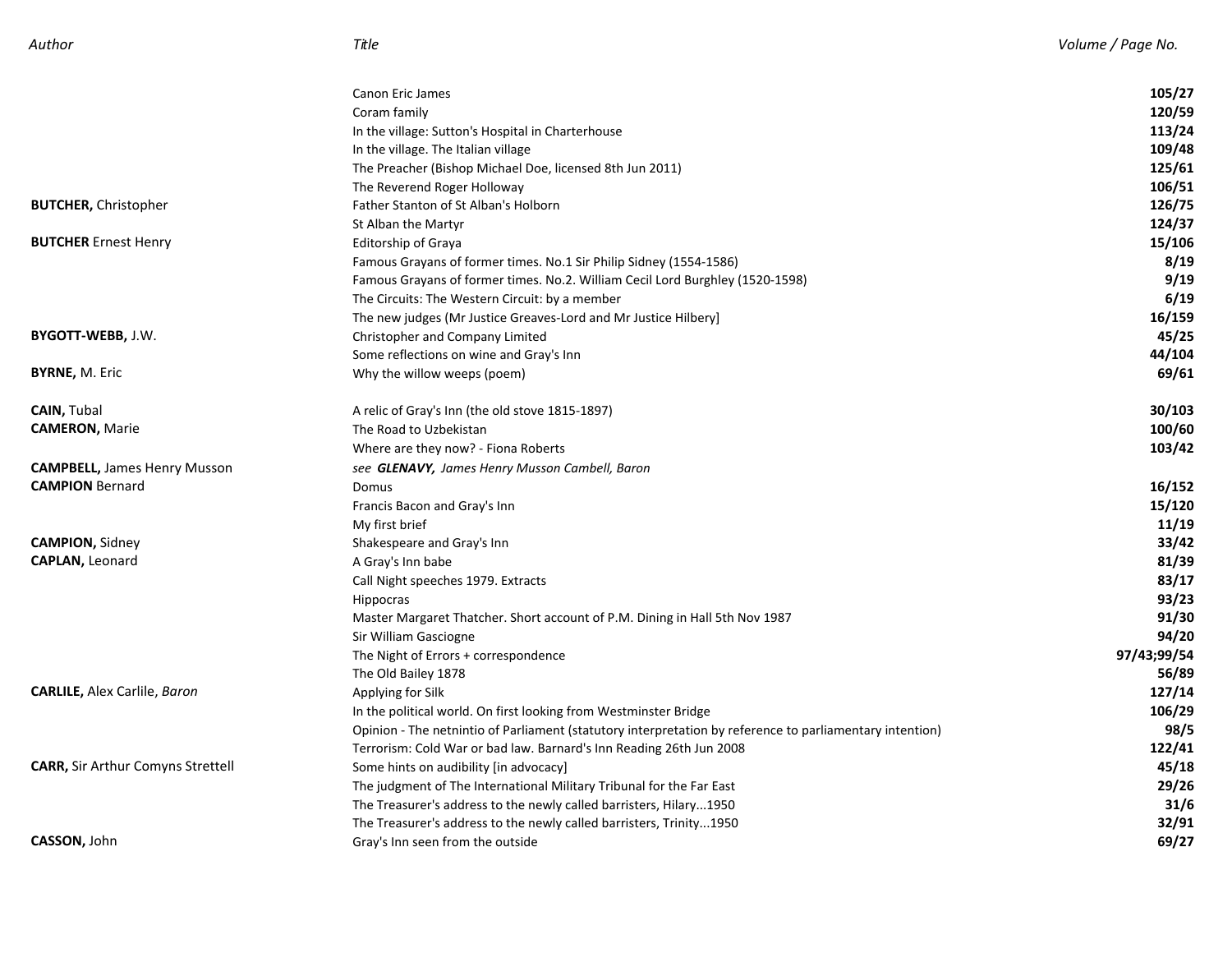|                                          | <b>Canon Eric James</b>                                                                                  | 105/27      |
|------------------------------------------|----------------------------------------------------------------------------------------------------------|-------------|
|                                          | Coram family                                                                                             | 120/59      |
|                                          | In the village: Sutton's Hospital in Charterhouse                                                        | 113/24      |
|                                          | In the village. The Italian village                                                                      | 109/48      |
|                                          | The Preacher (Bishop Michael Doe, licensed 8th Jun 2011)                                                 | 125/61      |
|                                          | The Reverend Roger Holloway                                                                              | 106/51      |
| <b>BUTCHER, Christopher</b>              | Father Stanton of St Alban's Holborn                                                                     | 126/75      |
|                                          | St Alban the Martyr                                                                                      | 124/37      |
| <b>BUTCHER Ernest Henry</b>              | <b>Editorship of Graya</b>                                                                               | 15/106      |
|                                          | Famous Grayans of former times. No.1 Sir Philip Sidney (1554-1586)                                       | 8/19        |
|                                          | Famous Grayans of former times. No.2. William Cecil Lord Burghley (1520-1598)                            | 9/19        |
|                                          | The Circuits: The Western Circuit: by a member                                                           | 6/19        |
|                                          | The new judges (Mr Justice Greaves-Lord and Mr Justice Hilbery)                                          | 16/159      |
| BYGOTT-WEBB, J.W.                        | Christopher and Company Limited                                                                          | 45/25       |
|                                          | Some reflections on wine and Gray's Inn                                                                  | 44/104      |
| <b>BYRNE, M. Eric</b>                    | Why the willow weeps (poem)                                                                              | 69/61       |
| <b>CAIN, Tubal</b>                       | A relic of Gray's Inn (the old stove 1815-1897)                                                          | 30/103      |
| <b>CAMERON, Marie</b>                    | The Road to Uzbekistan                                                                                   | 100/60      |
|                                          | Where are they now? - Fiona Roberts                                                                      | 103/42      |
| <b>CAMPBELL, James Henry Musson</b>      | see GLENAVY, James Henry Musson Cambell, Baron                                                           |             |
| <b>CAMPION Bernard</b>                   | Domus                                                                                                    | 16/152      |
|                                          | Francis Bacon and Gray's Inn                                                                             | 15/120      |
|                                          | My first brief                                                                                           | 11/19       |
| <b>CAMPION, Sidney</b>                   | Shakespeare and Gray's Inn                                                                               | 33/42       |
| <b>CAPLAN, Leonard</b>                   | A Gray's Inn babe                                                                                        | 81/39       |
|                                          | Call Night speeches 1979. Extracts                                                                       | 83/17       |
|                                          | Hippocras                                                                                                | 93/23       |
|                                          | Master Margaret Thatcher. Short account of P.M. Dining in Hall 5th Nov 1987                              | 91/30       |
|                                          | Sir William Gasciogne                                                                                    | 94/20       |
|                                          | The Night of Errors + correspondence                                                                     | 97/43;99/54 |
|                                          | The Old Bailey 1878                                                                                      | 56/89       |
| <b>CARLILE, Alex Carlile, Baron</b>      | Applying for Silk                                                                                        | 127/14      |
|                                          | In the political world. On first looking from Westminster Bridge                                         | 106/29      |
|                                          | Opinion - The netnintio of Parliament (statutory interpretation by reference to parliamentary intention) | 98/5        |
|                                          | Terrorism: Cold War or bad law. Barnard's Inn Reading 26th Jun 2008                                      | 122/41      |
| <b>CARR, Sir Arthur Comyns Strettell</b> | Some hints on audibility [in advocacy]                                                                   | 45/18       |
|                                          | The judgment of The International Military Tribunal for the Far East                                     | 29/26       |
|                                          | The Treasurer's address to the newly called barristers, Hilary1950                                       | 31/6        |
|                                          | The Treasurer's address to the newly called barristers, Trinity1950                                      | 32/91       |
| CASSON, John                             | Gray's Inn seen from the outside                                                                         | 69/27       |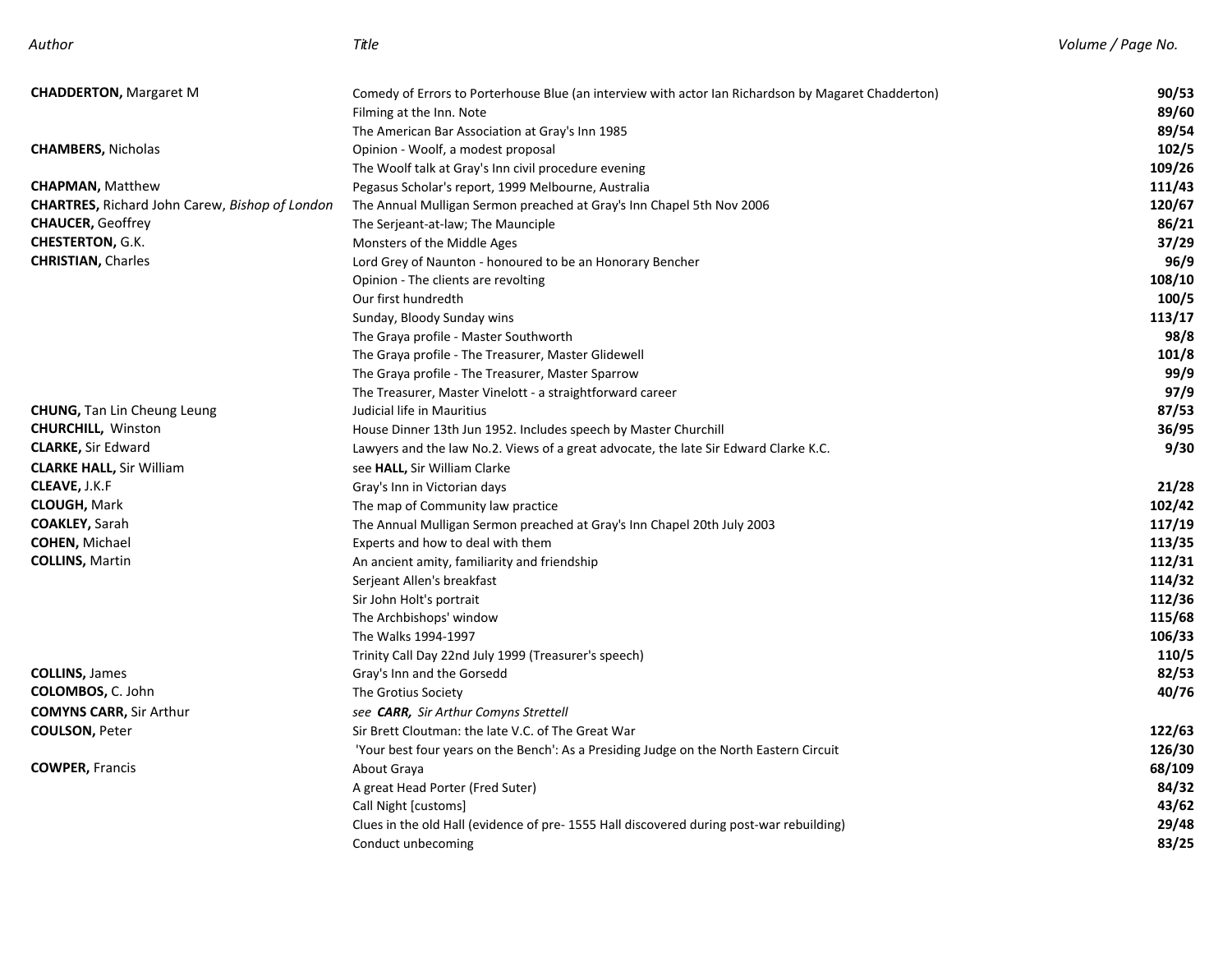| Author                                                | Title                                                                                               | Volume / Page No. |
|-------------------------------------------------------|-----------------------------------------------------------------------------------------------------|-------------------|
| <b>CHADDERTON, Margaret M</b>                         | Comedy of Errors to Porterhouse Blue (an interview with actor Ian Richardson by Magaret Chadderton) | 90/53             |
|                                                       | Filming at the Inn. Note                                                                            | 89/60             |
|                                                       | The American Bar Association at Gray's Inn 1985                                                     | 89/54             |
| <b>CHAMBERS, Nicholas</b>                             | Opinion - Woolf, a modest proposal                                                                  | 102/5             |
|                                                       | The Woolf talk at Gray's Inn civil procedure evening                                                | 109/26            |
| <b>CHAPMAN, Matthew</b>                               | Pegasus Scholar's report, 1999 Melbourne, Australia                                                 | 111/43            |
| <b>CHARTRES, Richard John Carew, Bishop of London</b> | The Annual Mulligan Sermon preached at Gray's Inn Chapel 5th Nov 2006                               | 120/67            |
| <b>CHAUCER, Geoffrey</b>                              | The Serjeant-at-law; The Maunciple                                                                  | 86/21             |
| CHESTERTON, G.K.                                      | Monsters of the Middle Ages                                                                         | 37/29             |
| <b>CHRISTIAN, Charles</b>                             | Lord Grey of Naunton - honoured to be an Honorary Bencher                                           | 96/9              |
|                                                       | Opinion - The clients are revolting                                                                 | 108/10            |
|                                                       | Our first hundredth                                                                                 | 100/5             |
|                                                       | Sunday, Bloody Sunday wins                                                                          | 113/17            |
|                                                       | The Graya profile - Master Southworth                                                               | 98/8              |
|                                                       | The Graya profile - The Treasurer, Master Glidewell                                                 | 101/8             |
|                                                       | The Graya profile - The Treasurer, Master Sparrow                                                   | 99/9              |
|                                                       | The Treasurer, Master Vinelott - a straightforward career                                           | 97/9              |
| <b>CHUNG, Tan Lin Cheung Leung</b>                    | Judicial life in Mauritius                                                                          | 87/53             |
| <b>CHURCHILL, Winston</b>                             | House Dinner 13th Jun 1952. Includes speech by Master Churchill                                     | 36/95             |
| <b>CLARKE, Sir Edward</b>                             | Lawyers and the law No.2. Views of a great advocate, the late Sir Edward Clarke K.C.                | 9/30              |
| <b>CLARKE HALL, Sir William</b>                       | see HALL, Sir William Clarke                                                                        |                   |
| <b>CLEAVE, J.K.F</b>                                  | Gray's Inn in Victorian days                                                                        | 21/28             |
| <b>CLOUGH, Mark</b>                                   | The map of Community law practice                                                                   | 102/42            |
| <b>COAKLEY, Sarah</b>                                 | The Annual Mulligan Sermon preached at Gray's Inn Chapel 20th July 2003                             | 117/19            |
| <b>COHEN, Michael</b>                                 | Experts and how to deal with them                                                                   | 113/35            |
| <b>COLLINS, Martin</b>                                | An ancient amity, familiarity and friendship                                                        | 112/31            |
|                                                       | Serjeant Allen's breakfast                                                                          | 114/32            |
|                                                       | Sir John Holt's portrait                                                                            | 112/36            |
|                                                       | The Archbishops' window                                                                             | 115/68            |
|                                                       | The Walks 1994-1997                                                                                 | 106/33            |
|                                                       | Trinity Call Day 22nd July 1999 (Treasurer's speech)                                                | 110/5             |
| <b>COLLINS, James</b>                                 | Gray's Inn and the Gorsedd                                                                          | 82/53             |
| <b>COLOMBOS, C. John</b>                              | The Grotius Society                                                                                 | 40/76             |
| <b>COMYNS CARR, Sir Arthur</b>                        | see CARR, Sir Arthur Comyns Strettell                                                               |                   |
| <b>COULSON, Peter</b>                                 | Sir Brett Cloutman: the late V.C. of The Great War                                                  | 122/63            |
|                                                       | 'Your best four years on the Bench': As a Presiding Judge on the North Eastern Circuit              | 126/30            |
| <b>COWPER, Francis</b>                                | About Graya                                                                                         | 68/109            |
|                                                       | A great Head Porter (Fred Suter)                                                                    | 84/32             |
|                                                       | Call Night [customs]                                                                                | 43/62             |
|                                                       | Clues in the old Hall (evidence of pre- 1555 Hall discovered during post-war rebuilding)            | 29/48             |
|                                                       | Conduct unbecoming                                                                                  | 83/25             |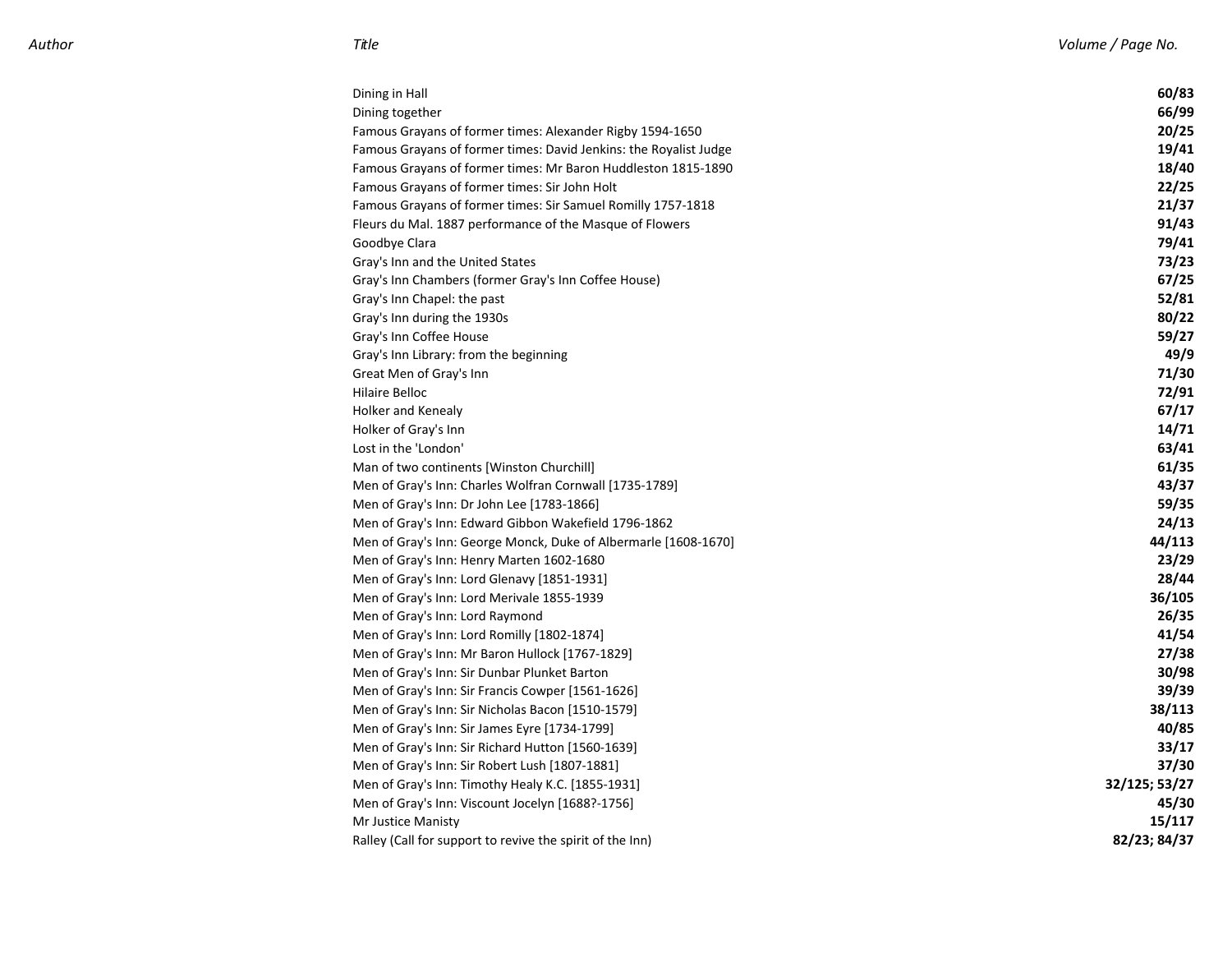| Dining in Hall                                                    | 60/83         |
|-------------------------------------------------------------------|---------------|
| Dining together                                                   | 66/99         |
| Famous Grayans of former times: Alexander Rigby 1594-1650         | 20/25         |
| Famous Grayans of former times: David Jenkins: the Royalist Judge | 19/41         |
| Famous Grayans of former times: Mr Baron Huddleston 1815-1890     | 18/40         |
| Famous Grayans of former times: Sir John Holt                     | 22/25         |
| Famous Grayans of former times: Sir Samuel Romilly 1757-1818      | 21/37         |
| Fleurs du Mal. 1887 performance of the Masque of Flowers          | 91/43         |
| Goodbye Clara                                                     | 79/41         |
| Gray's Inn and the United States                                  | 73/23         |
| Gray's Inn Chambers (former Gray's Inn Coffee House)              | 67/25         |
| Gray's Inn Chapel: the past                                       | 52/81         |
| Gray's Inn during the 1930s                                       | 80/22         |
| Gray's Inn Coffee House                                           | 59/27         |
| Gray's Inn Library: from the beginning                            | 49/9          |
| Great Men of Gray's Inn                                           | 71/30         |
| <b>Hilaire Belloc</b>                                             | 72/91         |
| <b>Holker and Kenealy</b>                                         | 67/17         |
| Holker of Gray's Inn                                              | 14/71         |
| Lost in the 'London'                                              | 63/41         |
| Man of two continents [Winston Churchill]                         | 61/35         |
| Men of Gray's Inn: Charles Wolfran Cornwall [1735-1789]           | 43/37         |
| Men of Gray's Inn: Dr John Lee [1783-1866]                        | 59/35         |
| Men of Gray's Inn: Edward Gibbon Wakefield 1796-1862              | 24/13         |
| Men of Gray's Inn: George Monck, Duke of Albermarle [1608-1670]   | 44/113        |
| Men of Gray's Inn: Henry Marten 1602-1680                         | 23/29         |
| Men of Gray's Inn: Lord Glenavy [1851-1931]                       | 28/44         |
| Men of Gray's Inn: Lord Merivale 1855-1939                        | 36/105        |
| Men of Gray's Inn: Lord Raymond                                   | 26/35         |
| Men of Gray's Inn: Lord Romilly [1802-1874]                       | 41/54         |
| Men of Gray's Inn: Mr Baron Hullock [1767-1829]                   | 27/38         |
| Men of Gray's Inn: Sir Dunbar Plunket Barton                      | 30/98         |
| Men of Gray's Inn: Sir Francis Cowper [1561-1626]                 | 39/39         |
| Men of Gray's Inn: Sir Nicholas Bacon [1510-1579]                 | 38/113        |
| Men of Gray's Inn: Sir James Eyre [1734-1799]                     | 40/85         |
| Men of Gray's Inn: Sir Richard Hutton [1560-1639]                 | 33/17         |
| Men of Gray's Inn: Sir Robert Lush [1807-1881]                    | 37/30         |
| Men of Gray's Inn: Timothy Healy K.C. [1855-1931]                 | 32/125; 53/27 |
| Men of Gray's Inn: Viscount Jocelyn [1688?-1756]                  | 45/30         |
| Mr Justice Manisty                                                | 15/117        |
| Ralley (Call for support to revive the spirit of the Inn)         | 82/23; 84/37  |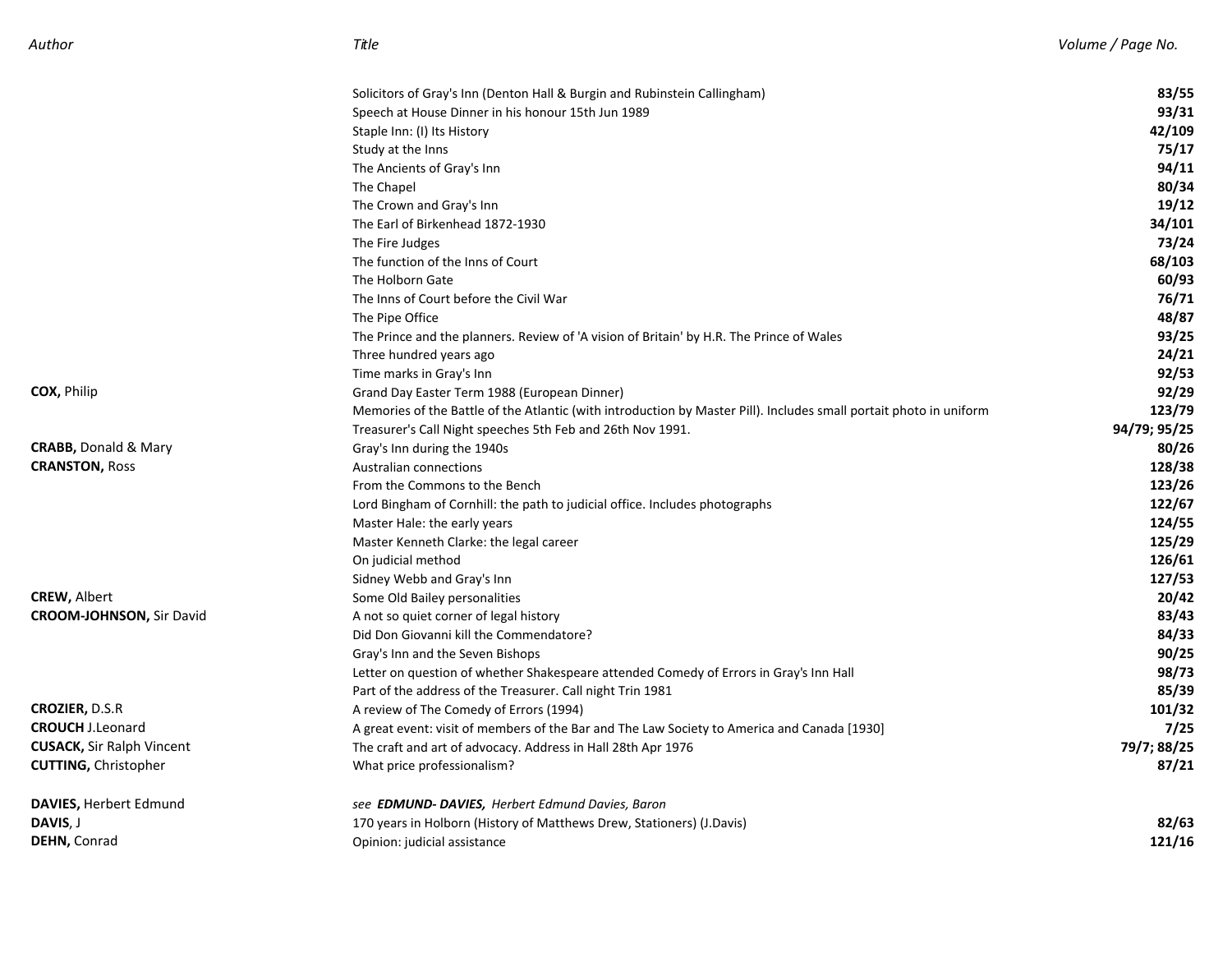|                                  | Solicitors of Gray's Inn (Denton Hall & Burgin and Rubinstein Callingham)                                          | 83/55        |
|----------------------------------|--------------------------------------------------------------------------------------------------------------------|--------------|
|                                  | Speech at House Dinner in his honour 15th Jun 1989                                                                 | 93/31        |
|                                  | Staple Inn: (I) Its History                                                                                        | 42/109       |
|                                  | Study at the Inns                                                                                                  | 75/17        |
|                                  | The Ancients of Gray's Inn                                                                                         | 94/11        |
|                                  | The Chapel                                                                                                         | 80/34        |
|                                  | The Crown and Gray's Inn                                                                                           | 19/12        |
|                                  | The Earl of Birkenhead 1872-1930                                                                                   | 34/101       |
|                                  | The Fire Judges                                                                                                    | 73/24        |
|                                  | The function of the Inns of Court                                                                                  | 68/103       |
|                                  | The Holborn Gate                                                                                                   | 60/93        |
|                                  | The Inns of Court before the Civil War                                                                             | 76/71        |
|                                  | The Pipe Office                                                                                                    | 48/87        |
|                                  | The Prince and the planners. Review of 'A vision of Britain' by H.R. The Prince of Wales                           | 93/25        |
|                                  | Three hundred years ago                                                                                            | 24/21        |
|                                  | Time marks in Gray's Inn                                                                                           | 92/53        |
| COX, Philip                      | Grand Day Easter Term 1988 (European Dinner)                                                                       | 92/29        |
|                                  | Memories of the Battle of the Atlantic (with introduction by Master Pill). Includes small portait photo in uniform | 123/79       |
|                                  | Treasurer's Call Night speeches 5th Feb and 26th Nov 1991.                                                         | 94/79; 95/25 |
| <b>CRABB, Donald &amp; Mary</b>  | Gray's Inn during the 1940s                                                                                        | 80/26        |
| <b>CRANSTON, Ross</b>            | Australian connections                                                                                             | 128/38       |
|                                  | From the Commons to the Bench                                                                                      | 123/26       |
|                                  | Lord Bingham of Cornhill: the path to judicial office. Includes photographs                                        | 122/67       |
|                                  | Master Hale: the early years                                                                                       | 124/55       |
|                                  | Master Kenneth Clarke: the legal career                                                                            | 125/29       |
|                                  | On judicial method                                                                                                 | 126/61       |
|                                  | Sidney Webb and Gray's Inn                                                                                         | 127/53       |
| <b>CREW, Albert</b>              | Some Old Bailey personalities                                                                                      | 20/42        |
| <b>CROOM-JOHNSON, Sir David</b>  | A not so quiet corner of legal history                                                                             | 83/43        |
|                                  | Did Don Giovanni kill the Commendatore?                                                                            | 84/33        |
|                                  | Gray's Inn and the Seven Bishops                                                                                   | 90/25        |
|                                  | Letter on question of whether Shakespeare attended Comedy of Errors in Gray's Inn Hall                             | 98/73        |
|                                  | Part of the address of the Treasurer. Call night Trin 1981                                                         | 85/39        |
| <b>CROZIER, D.S.R</b>            | A review of The Comedy of Errors (1994)                                                                            | 101/32       |
| <b>CROUCH J.Leonard</b>          | A great event: visit of members of the Bar and The Law Society to America and Canada [1930]                        | 7/25         |
| <b>CUSACK, Sir Ralph Vincent</b> | The craft and art of advocacy. Address in Hall 28th Apr 1976                                                       | 79/7; 88/25  |
| <b>CUTTING, Christopher</b>      | What price professionalism?                                                                                        | 87/21        |
| <b>DAVIES, Herbert Edmund</b>    | see EDMUND-DAVIES, Herbert Edmund Davies, Baron                                                                    |              |
| DAVIS, J                         | 170 years in Holborn (History of Matthews Drew, Stationers) (J.Davis)                                              | 82/63        |
| DEHN, Conrad                     | Opinion: judicial assistance                                                                                       | 121/16       |
|                                  |                                                                                                                    |              |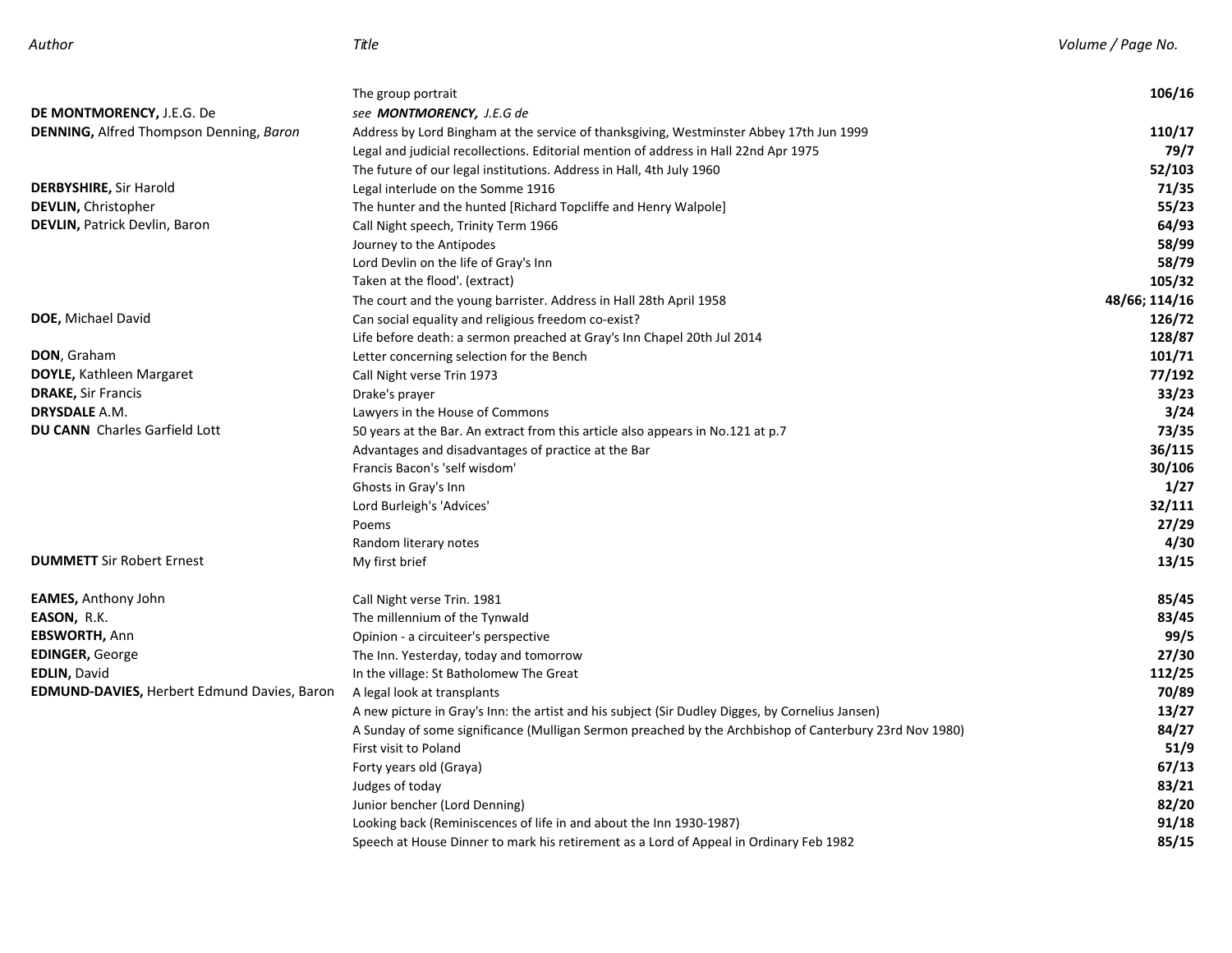|                                                    | The group portrait                                                                                     | 106/16        |
|----------------------------------------------------|--------------------------------------------------------------------------------------------------------|---------------|
| DE MONTMORENCY, J.E.G. De                          | see <b>MONTMORENCY</b> , J.E.G de                                                                      |               |
| DENNING, Alfred Thompson Denning, Baron            | Address by Lord Bingham at the service of thanksgiving, Westminster Abbey 17th Jun 1999                | 110/17        |
|                                                    | Legal and judicial recollections. Editorial mention of address in Hall 22nd Apr 1975                   | 79/7          |
|                                                    | The future of our legal institutions. Address in Hall, 4th July 1960                                   | 52/103        |
| <b>DERBYSHIRE, Sir Harold</b>                      | Legal interlude on the Somme 1916                                                                      | 71/35         |
| DEVLIN, Christopher                                | The hunter and the hunted [Richard Topcliffe and Henry Walpole]                                        | 55/23         |
| <b>DEVLIN, Patrick Devlin, Baron</b>               | Call Night speech, Trinity Term 1966                                                                   | 64/93         |
|                                                    | Journey to the Antipodes                                                                               | 58/99         |
|                                                    | Lord Devlin on the life of Gray's Inn                                                                  | 58/79         |
|                                                    | Taken at the flood'. (extract)                                                                         | 105/32        |
|                                                    | The court and the young barrister. Address in Hall 28th April 1958                                     | 48/66; 114/16 |
| DOE, Michael David                                 | Can social equality and religious freedom co-exist?                                                    | 126/72        |
|                                                    | Life before death: a sermon preached at Gray's Inn Chapel 20th Jul 2014                                | 128/87        |
| <b>DON</b> , Graham                                | Letter concerning selection for the Bench                                                              | 101/71        |
| <b>DOYLE, Kathleen Margaret</b>                    | Call Night verse Trin 1973                                                                             | 77/192        |
| <b>DRAKE, Sir Francis</b>                          | Drake's prayer                                                                                         | 33/23         |
| <b>DRYSDALE</b> A.M.                               | Lawyers in the House of Commons                                                                        | 3/24          |
| <b>DU CANN</b> Charles Garfield Lott               | 50 years at the Bar. An extract from this article also appears in No.121 at p.7                        | 73/35         |
|                                                    | Advantages and disadvantages of practice at the Bar                                                    | 36/115        |
|                                                    | Francis Bacon's 'self wisdom'                                                                          | 30/106        |
|                                                    | Ghosts in Gray's Inn                                                                                   | 1/27          |
|                                                    | Lord Burleigh's 'Advices'                                                                              | 32/111        |
|                                                    | Poems                                                                                                  | 27/29         |
|                                                    | Random literary notes                                                                                  | 4/30          |
| <b>DUMMETT</b> Sir Robert Ernest                   | My first brief                                                                                         | 13/15         |
| <b>EAMES,</b> Anthony John                         | Call Night verse Trin. 1981                                                                            | 85/45         |
| <b>EASON,</b> R.K.                                 | The millennium of the Tynwald                                                                          | 83/45         |
| <b>EBSWORTH, Ann</b>                               | Opinion - a circuiteer's perspective                                                                   | 99/5          |
| <b>EDINGER, George</b>                             | The Inn. Yesterday, today and tomorrow                                                                 | 27/30         |
| <b>EDLIN, David</b>                                | In the village: St Batholomew The Great                                                                | 112/25        |
| <b>EDMUND-DAVIES, Herbert Edmund Davies, Baron</b> | A legal look at transplants                                                                            | 70/89         |
|                                                    | A new picture in Gray's Inn: the artist and his subject (Sir Dudley Digges, by Cornelius Jansen)       | 13/27         |
|                                                    | A Sunday of some significance (Mulligan Sermon preached by the Archbishop of Canterbury 23rd Nov 1980) | 84/27         |
|                                                    | First visit to Poland                                                                                  | 51/9          |
|                                                    | Forty years old (Graya)                                                                                | 67/13         |
|                                                    | Judges of today                                                                                        | 83/21         |
|                                                    | Junior bencher (Lord Denning)                                                                          | 82/20         |
|                                                    | Looking back (Reminiscences of life in and about the Inn 1930-1987)                                    | 91/18         |
|                                                    | Speech at House Dinner to mark his retirement as a Lord of Appeal in Ordinary Feb 1982                 | 85/15         |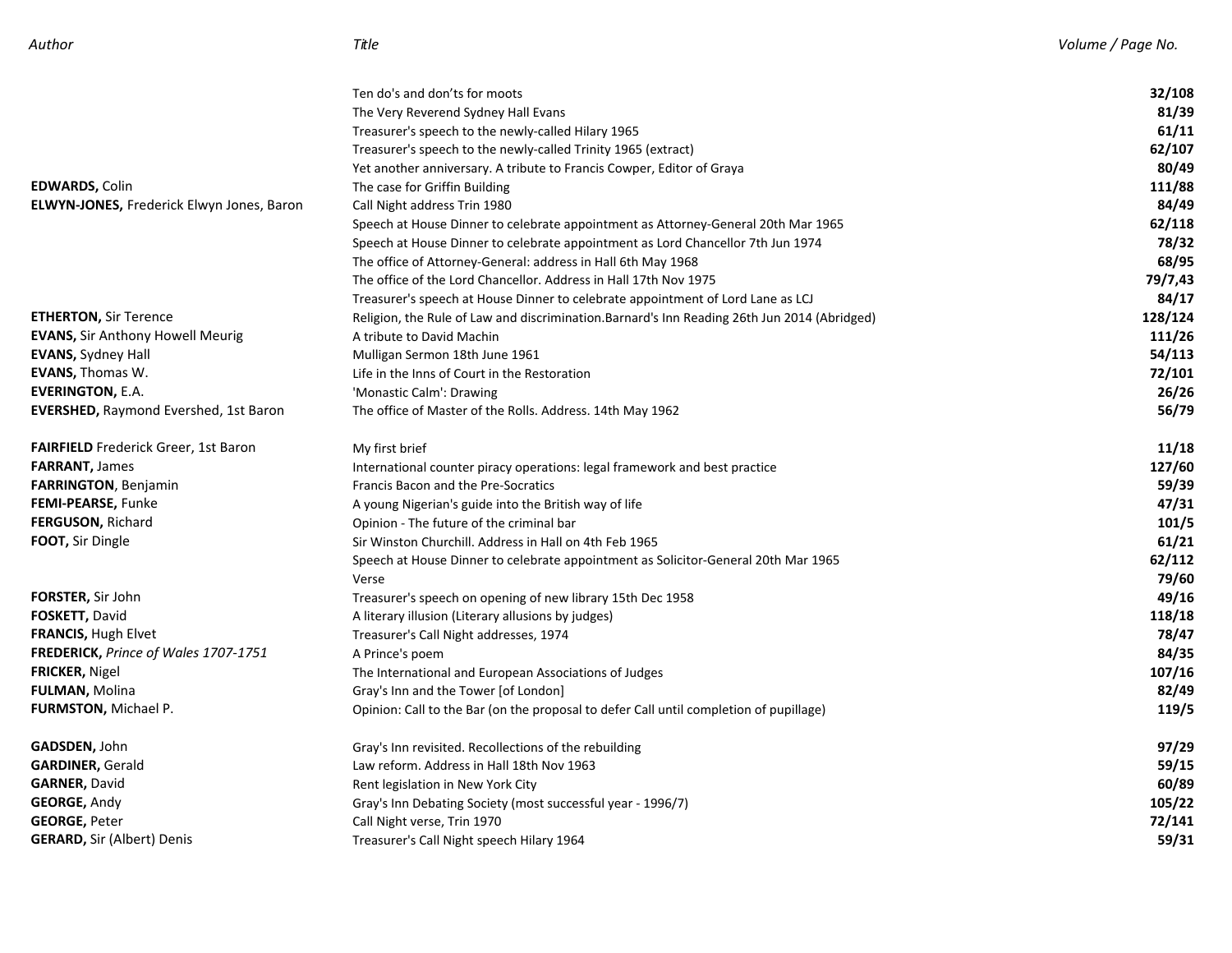|                                                  | Ten do's and don'ts for moots                                                               | 32/108  |
|--------------------------------------------------|---------------------------------------------------------------------------------------------|---------|
|                                                  | The Very Reverend Sydney Hall Evans                                                         | 81/39   |
|                                                  | Treasurer's speech to the newly-called Hilary 1965                                          | 61/11   |
|                                                  | Treasurer's speech to the newly-called Trinity 1965 (extract)                               | 62/107  |
|                                                  | Yet another anniversary. A tribute to Francis Cowper, Editor of Graya                       | 80/49   |
| <b>EDWARDS, Colin</b>                            | The case for Griffin Building                                                               | 111/88  |
| <b>ELWYN-JONES, Frederick Elwyn Jones, Baron</b> | Call Night address Trin 1980                                                                | 84/49   |
|                                                  | Speech at House Dinner to celebrate appointment as Attorney-General 20th Mar 1965           | 62/118  |
|                                                  | Speech at House Dinner to celebrate appointment as Lord Chancellor 7th Jun 1974             | 78/32   |
|                                                  | The office of Attorney-General: address in Hall 6th May 1968                                | 68/95   |
|                                                  | The office of the Lord Chancellor. Address in Hall 17th Nov 1975                            | 79/7,43 |
|                                                  | Treasurer's speech at House Dinner to celebrate appointment of Lord Lane as LCJ             | 84/17   |
| <b>ETHERTON, Sir Terence</b>                     | Religion, the Rule of Law and discrimination.Barnard's Inn Reading 26th Jun 2014 (Abridged) | 128/124 |
| <b>EVANS, Sir Anthony Howell Meurig</b>          | A tribute to David Machin                                                                   | 111/26  |
| <b>EVANS, Sydney Hall</b>                        | Mulligan Sermon 18th June 1961                                                              | 54/113  |
| <b>EVANS, Thomas W.</b>                          | Life in the Inns of Court in the Restoration                                                | 72/101  |
| <b>EVERINGTON, E.A.</b>                          | 'Monastic Calm': Drawing                                                                    | 26/26   |
| <b>EVERSHED, Raymond Evershed, 1st Baron</b>     | The office of Master of the Rolls. Address. 14th May 1962                                   | 56/79   |
| <b>FAIRFIELD</b> Frederick Greer, 1st Baron      | My first brief                                                                              | 11/18   |
| <b>FARRANT, James</b>                            | International counter piracy operations: legal framework and best practice                  | 127/60  |
| <b>FARRINGTON</b> , Benjamin                     | Francis Bacon and the Pre-Socratics                                                         | 59/39   |
| <b>FEMI-PEARSE, Funke</b>                        | A young Nigerian's guide into the British way of life                                       | 47/31   |
| FERGUSON, Richard                                | Opinion - The future of the criminal bar                                                    | 101/5   |
| FOOT, Sir Dingle                                 | Sir Winston Churchill. Address in Hall on 4th Feb 1965                                      | 61/21   |
|                                                  | Speech at House Dinner to celebrate appointment as Solicitor-General 20th Mar 1965          | 62/112  |
|                                                  | Verse                                                                                       | 79/60   |
| <b>FORSTER,</b> Sir John                         | Treasurer's speech on opening of new library 15th Dec 1958                                  | 49/16   |
| FOSKETT, David                                   | A literary illusion (Literary allusions by judges)                                          | 118/18  |
| <b>FRANCIS, Hugh Elvet</b>                       | Treasurer's Call Night addresses, 1974                                                      | 78/47   |
| FREDERICK, Prince of Wales 1707-1751             | A Prince's poem                                                                             | 84/35   |
| FRICKER, Nigel                                   | The International and European Associations of Judges                                       | 107/16  |
| FULMAN, Molina                                   | Gray's Inn and the Tower [of London]                                                        | 82/49   |
| <b>FURMSTON, Michael P.</b>                      | Opinion: Call to the Bar (on the proposal to defer Call until completion of pupillage)      | 119/5   |
| <b>GADSDEN,</b> John                             | Gray's Inn revisited. Recollections of the rebuilding                                       | 97/29   |
| GARDINER, Gerald                                 | Law reform. Address in Hall 18th Nov 1963                                                   | 59/15   |
| <b>GARNER,</b> David                             | Rent legislation in New York City                                                           | 60/89   |
| <b>GEORGE, Andy</b>                              | Gray's Inn Debating Society (most successful year - 1996/7)                                 | 105/22  |
| <b>GEORGE, Peter</b>                             | Call Night verse, Trin 1970                                                                 | 72/141  |
| <b>GERARD, Sir (Albert) Denis</b>                | Treasurer's Call Night speech Hilary 1964                                                   | 59/31   |
|                                                  |                                                                                             |         |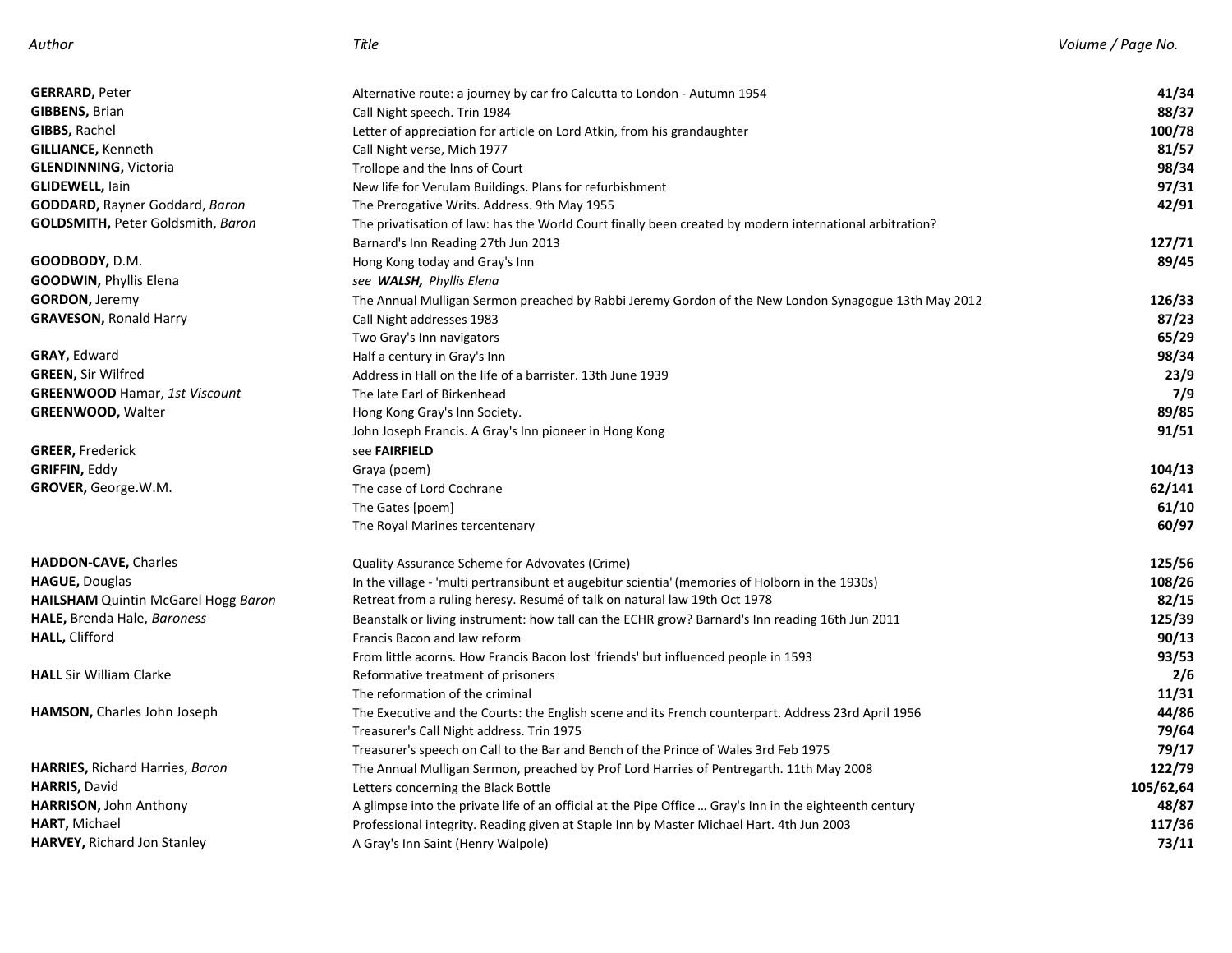| <b>GERRARD, Peter</b>                     |                                                                                                                                                | 41/34     |
|-------------------------------------------|------------------------------------------------------------------------------------------------------------------------------------------------|-----------|
| <b>GIBBENS, Brian</b>                     | Alternative route: a journey by car fro Calcutta to London - Autumn 1954<br>Call Night speech. Trin 1984                                       | 88/37     |
| GIBBS, Rachel                             |                                                                                                                                                | 100/78    |
| <b>GILLIANCE, Kenneth</b>                 | Letter of appreciation for article on Lord Atkin, from his grandaughter<br>Call Night verse, Mich 1977                                         | 81/57     |
| <b>GLENDINNING, Victoria</b>              |                                                                                                                                                | 98/34     |
| <b>GLIDEWELL, lain</b>                    | Trollope and the Inns of Court                                                                                                                 | 97/31     |
| GODDARD, Rayner Goddard, Baron            | New life for Verulam Buildings. Plans for refurbishment                                                                                        | 42/91     |
| <b>GOLDSMITH, Peter Goldsmith, Baron</b>  | The Prerogative Writs. Address. 9th May 1955                                                                                                   |           |
|                                           | The privatisation of law: has the World Court finally been created by modern international arbitration?<br>Barnard's Inn Reading 27th Jun 2013 | 127/71    |
| <b>GOODBODY,</b> D.M.                     | Hong Kong today and Gray's Inn                                                                                                                 | 89/45     |
|                                           |                                                                                                                                                |           |
| <b>GOODWIN, Phyllis Elena</b>             | see WALSH, Phyllis Elena                                                                                                                       |           |
| <b>GORDON, Jeremy</b>                     | The Annual Mulligan Sermon preached by Rabbi Jeremy Gordon of the New London Synagogue 13th May 2012                                           | 126/33    |
| <b>GRAVESON, Ronald Harry</b>             | Call Night addresses 1983                                                                                                                      | 87/23     |
|                                           | Two Gray's Inn navigators                                                                                                                      | 65/29     |
| GRAY, Edward                              | Half a century in Gray's Inn                                                                                                                   | 98/34     |
| <b>GREEN, Sir Wilfred</b>                 | Address in Hall on the life of a barrister. 13th June 1939                                                                                     | 23/9      |
| GREENWOOD Hamar, 1st Viscount             | The late Earl of Birkenhead                                                                                                                    | 7/9       |
| <b>GREENWOOD, Walter</b>                  | Hong Kong Gray's Inn Society.                                                                                                                  | 89/85     |
|                                           | John Joseph Francis. A Gray's Inn pioneer in Hong Kong                                                                                         | 91/51     |
| <b>GREER, Frederick</b>                   | see FAIRFIELD                                                                                                                                  |           |
| GRIFFIN, Eddy                             | Graya (poem)                                                                                                                                   | 104/13    |
| <b>GROVER, George.W.M.</b>                | The case of Lord Cochrane                                                                                                                      | 62/141    |
|                                           | The Gates [poem]                                                                                                                               | 61/10     |
|                                           | The Royal Marines tercentenary                                                                                                                 | 60/97     |
| HADDON-CAVE, Charles                      | Quality Assurance Scheme for Advovates (Crime)                                                                                                 | 125/56    |
| HAGUE, Douglas                            | In the village - 'multi pertransibunt et augebitur scientia' (memories of Holborn in the 1930s)                                                | 108/26    |
| HAILSHAM Quintin McGarel Hogg Baron       | Retreat from a ruling heresy. Resumé of talk on natural law 19th Oct 1978                                                                      | 82/15     |
| <b>HALE,</b> Brenda Hale, <i>Baroness</i> | Beanstalk or living instrument: how tall can the ECHR grow? Barnard's Inn reading 16th Jun 2011                                                | 125/39    |
| HALL, Clifford                            | Francis Bacon and law reform                                                                                                                   | 90/13     |
|                                           | From little acorns. How Francis Bacon lost 'friends' but influenced people in 1593                                                             | 93/53     |
| <b>HALL</b> Sir William Clarke            | Reformative treatment of prisoners                                                                                                             | 2/6       |
|                                           | The reformation of the criminal                                                                                                                | 11/31     |
| HAMSON, Charles John Joseph               | The Executive and the Courts: the English scene and its French counterpart. Address 23rd April 1956                                            | 44/86     |
|                                           | Treasurer's Call Night address. Trin 1975                                                                                                      | 79/64     |
|                                           | Treasurer's speech on Call to the Bar and Bench of the Prince of Wales 3rd Feb 1975                                                            | 79/17     |
| <b>HARRIES, Richard Harries, Baron</b>    | The Annual Mulligan Sermon, preached by Prof Lord Harries of Pentregarth. 11th May 2008                                                        | 122/79    |
| <b>HARRIS, David</b>                      | Letters concerning the Black Bottle                                                                                                            | 105/62,64 |
| HARRISON, John Anthony                    | A glimpse into the private life of an official at the Pipe Office  Gray's Inn in the eighteenth century                                        | 48/87     |
| HART, Michael                             | Professional integrity. Reading given at Staple Inn by Master Michael Hart. 4th Jun 2003                                                       | 117/36    |
| <b>HARVEY, Richard Jon Stanley</b>        | A Gray's Inn Saint (Henry Walpole)                                                                                                             | 73/11     |
|                                           |                                                                                                                                                |           |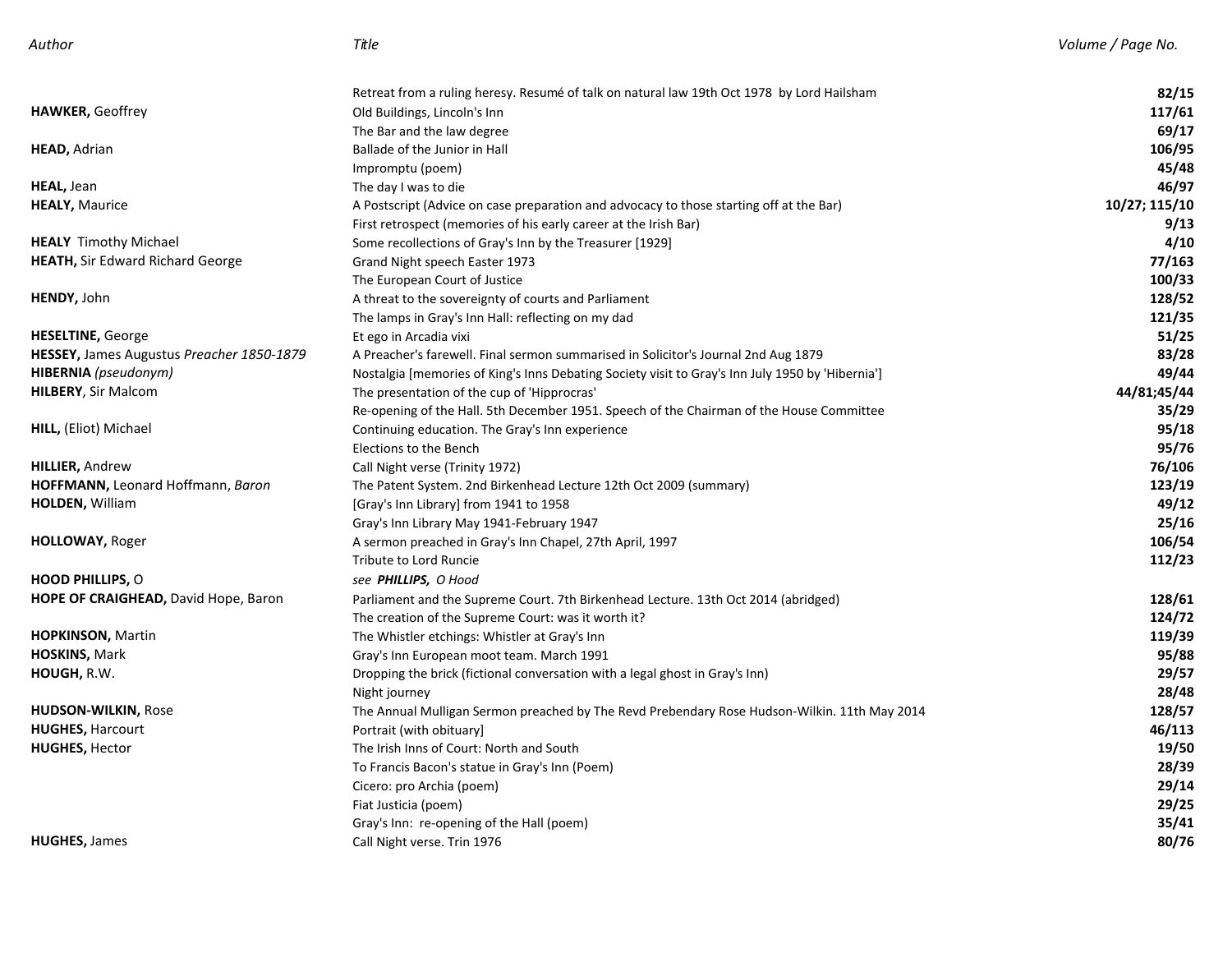| Author |
|--------|
|--------|

|                                                  | Retreat from a ruling heresy. Resumé of talk on natural law 19th Oct 1978 by Lord Hailsham       | 82/15         |
|--------------------------------------------------|--------------------------------------------------------------------------------------------------|---------------|
| <b>HAWKER, Geoffrey</b>                          | Old Buildings, Lincoln's Inn                                                                     | 117/61        |
|                                                  | The Bar and the law degree                                                                       | 69/17         |
| <b>HEAD, Adrian</b>                              | Ballade of the Junior in Hall                                                                    | 106/95        |
|                                                  | Impromptu (poem)                                                                                 | 45/48         |
| HEAL, Jean                                       | The day I was to die                                                                             | 46/97         |
| <b>HEALY, Maurice</b>                            | A Postscript (Advice on case preparation and advocacy to those starting off at the Bar)          | 10/27; 115/10 |
|                                                  | First retrospect (memories of his early career at the Irish Bar)                                 | 9/13          |
| <b>HEALY</b> Timothy Michael                     | Some recollections of Gray's Inn by the Treasurer [1929]                                         | 4/10          |
| <b>HEATH, Sir Edward Richard George</b>          | Grand Night speech Easter 1973                                                                   | 77/163        |
|                                                  | The European Court of Justice                                                                    | 100/33        |
| <b>HENDY, John</b>                               | A threat to the sovereignty of courts and Parliament                                             | 128/52        |
|                                                  | The lamps in Gray's Inn Hall: reflecting on my dad                                               | 121/35        |
| <b>HESELTINE, George</b>                         | Et ego in Arcadia vixi                                                                           | 51/25         |
| <b>HESSEY, James Augustus Preacher 1850-1879</b> | A Preacher's farewell. Final sermon summarised in Solicitor's Journal 2nd Aug 1879               | 83/28         |
| <b>HIBERNIA</b> ( <i>pseudonym</i> )             | Nostalgia [memories of King's Inns Debating Society visit to Gray's Inn July 1950 by 'Hibernia'] | 49/44         |
| <b>HILBERY, Sir Malcom</b>                       | The presentation of the cup of 'Hipprocras'                                                      | 44/81;45/44   |
|                                                  | Re-opening of the Hall. 5th December 1951. Speech of the Chairman of the House Committee         | 35/29         |
| <b>HILL, (Eliot) Michael</b>                     | Continuing education. The Gray's Inn experience                                                  | 95/18         |
|                                                  | Elections to the Bench                                                                           | 95/76         |
| <b>HILLIER, Andrew</b>                           | Call Night verse (Trinity 1972)                                                                  | 76/106        |
| HOFFMANN, Leonard Hoffmann, Baron                | The Patent System. 2nd Birkenhead Lecture 12th Oct 2009 (summary)                                | 123/19        |
| <b>HOLDEN, William</b>                           | [Gray's Inn Library] from 1941 to 1958                                                           | 49/12         |
|                                                  | Gray's Inn Library May 1941-February 1947                                                        | 25/16         |
| HOLLOWAY, Roger                                  | A sermon preached in Gray's Inn Chapel, 27th April, 1997                                         | 106/54        |
|                                                  | Tribute to Lord Runcie                                                                           | 112/23        |
| <b>HOOD PHILLIPS, O</b>                          | see PHILLIPS, O Hood                                                                             |               |
| HOPE OF CRAIGHEAD, David Hope, Baron             | Parliament and the Supreme Court. 7th Birkenhead Lecture. 13th Oct 2014 (abridged)               | 128/61        |
|                                                  | The creation of the Supreme Court: was it worth it?                                              | 124/72        |
| <b>HOPKINSON, Martin</b>                         | The Whistler etchings: Whistler at Gray's Inn                                                    | 119/39        |
| <b>HOSKINS, Mark</b>                             | Gray's Inn European moot team. March 1991                                                        | 95/88         |
| HOUGH, R.W.                                      | Dropping the brick (fictional conversation with a legal ghost in Gray's Inn)                     | 29/57         |
|                                                  | Night journey                                                                                    | 28/48         |
| <b>HUDSON-WILKIN, Rose</b>                       | The Annual Mulligan Sermon preached by The Revd Prebendary Rose Hudson-Wilkin. 11th May 2014     | 128/57        |
| <b>HUGHES, Harcourt</b>                          | Portrait (with obituary)                                                                         | 46/113        |
| <b>HUGHES, Hector</b>                            | The Irish Inns of Court: North and South                                                         | 19/50         |
|                                                  | To Francis Bacon's statue in Gray's Inn (Poem)                                                   | 28/39         |
|                                                  | Cicero: pro Archia (poem)                                                                        | 29/14         |
|                                                  | Fiat Justicia (poem)                                                                             | 29/25         |
|                                                  | Gray's Inn: re-opening of the Hall (poem)                                                        | 35/41         |
| <b>HUGHES, James</b>                             | Call Night verse. Trin 1976                                                                      | 80/76         |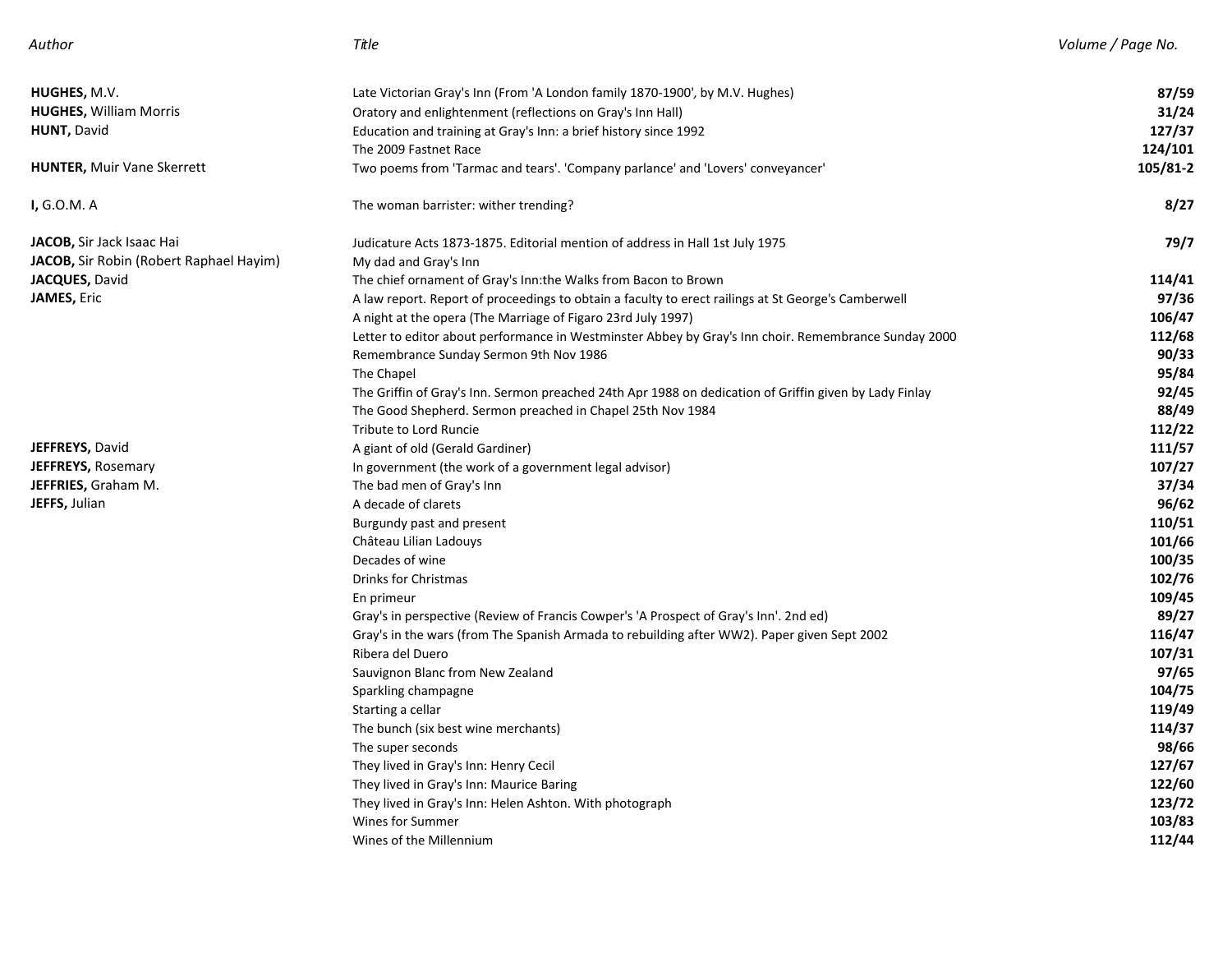| Author |  |
|--------|--|
|--------|--|

| <b>HUGHES,</b> M.V.                     | Late Victorian Gray's Inn (From 'A London family 1870-1900', by M.V. Hughes)                           | 87/59    |
|-----------------------------------------|--------------------------------------------------------------------------------------------------------|----------|
| <b>HUGHES, William Morris</b>           | Oratory and enlightenment (reflections on Gray's Inn Hall)                                             | 31/24    |
| <b>HUNT, David</b>                      | Education and training at Gray's Inn: a brief history since 1992                                       | 127/37   |
|                                         | The 2009 Fastnet Race                                                                                  | 124/101  |
| <b>HUNTER, Muir Vane Skerrett</b>       | Two poems from 'Tarmac and tears'. 'Company parlance' and 'Lovers' conveyancer'                        | 105/81-2 |
| <b>I,</b> G.O.M. A                      | The woman barrister: wither trending?                                                                  | 8/27     |
| <b>JACOB,</b> Sir Jack Isaac Hai        | Judicature Acts 1873-1875. Editorial mention of address in Hall 1st July 1975                          | 79/7     |
| JACOB, Sir Robin (Robert Raphael Hayim) | My dad and Gray's Inn                                                                                  |          |
| JACQUES, David                          | The chief ornament of Gray's Inn:the Walks from Bacon to Brown                                         | 114/41   |
| JAMES, Eric                             | A law report. Report of proceedings to obtain a faculty to erect railings at St George's Camberwell    | 97/36    |
|                                         | A night at the opera (The Marriage of Figaro 23rd July 1997)                                           | 106/47   |
|                                         | Letter to editor about performance in Westminster Abbey by Gray's Inn choir. Remembrance Sunday 2000   | 112/68   |
|                                         | Remembrance Sunday Sermon 9th Nov 1986                                                                 | 90/33    |
|                                         | The Chapel                                                                                             | 95/84    |
|                                         | The Griffin of Gray's Inn. Sermon preached 24th Apr 1988 on dedication of Griffin given by Lady Finlay | 92/45    |
|                                         | The Good Shepherd. Sermon preached in Chapel 25th Nov 1984                                             | 88/49    |
|                                         | Tribute to Lord Runcie                                                                                 | 112/22   |
| JEFFREYS, David                         | A giant of old (Gerald Gardiner)                                                                       | 111/57   |
| <b>JEFFREYS, Rosemary</b>               | In government (the work of a government legal advisor)                                                 | 107/27   |
| JEFFRIES, Graham M.                     | The bad men of Gray's Inn                                                                              | 37/34    |
| JEFFS, Julian                           | A decade of clarets                                                                                    | 96/62    |
|                                         | Burgundy past and present                                                                              | 110/51   |
|                                         | Château Lilian Ladouys                                                                                 | 101/66   |
|                                         | Decades of wine                                                                                        | 100/35   |
|                                         | Drinks for Christmas                                                                                   | 102/76   |
|                                         | En primeur                                                                                             | 109/45   |
|                                         | Gray's in perspective (Review of Francis Cowper's 'A Prospect of Gray's Inn'. 2nd ed)                  | 89/27    |
|                                         | Gray's in the wars (from The Spanish Armada to rebuilding after WW2). Paper given Sept 2002            | 116/47   |
|                                         | Ribera del Duero                                                                                       | 107/31   |
|                                         | Sauvignon Blanc from New Zealand                                                                       | 97/65    |
|                                         | Sparkling champagne                                                                                    | 104/75   |
|                                         | Starting a cellar                                                                                      | 119/49   |
|                                         | The bunch (six best wine merchants)                                                                    | 114/37   |
|                                         | The super seconds                                                                                      | 98/66    |
|                                         | They lived in Gray's Inn: Henry Cecil                                                                  | 127/67   |
|                                         | They lived in Gray's Inn: Maurice Baring                                                               | 122/60   |
|                                         | They lived in Gray's Inn: Helen Ashton. With photograph                                                | 123/72   |
|                                         | Wines for Summer                                                                                       | 103/83   |
|                                         | Wines of the Millennium                                                                                | 112/44   |
|                                         |                                                                                                        |          |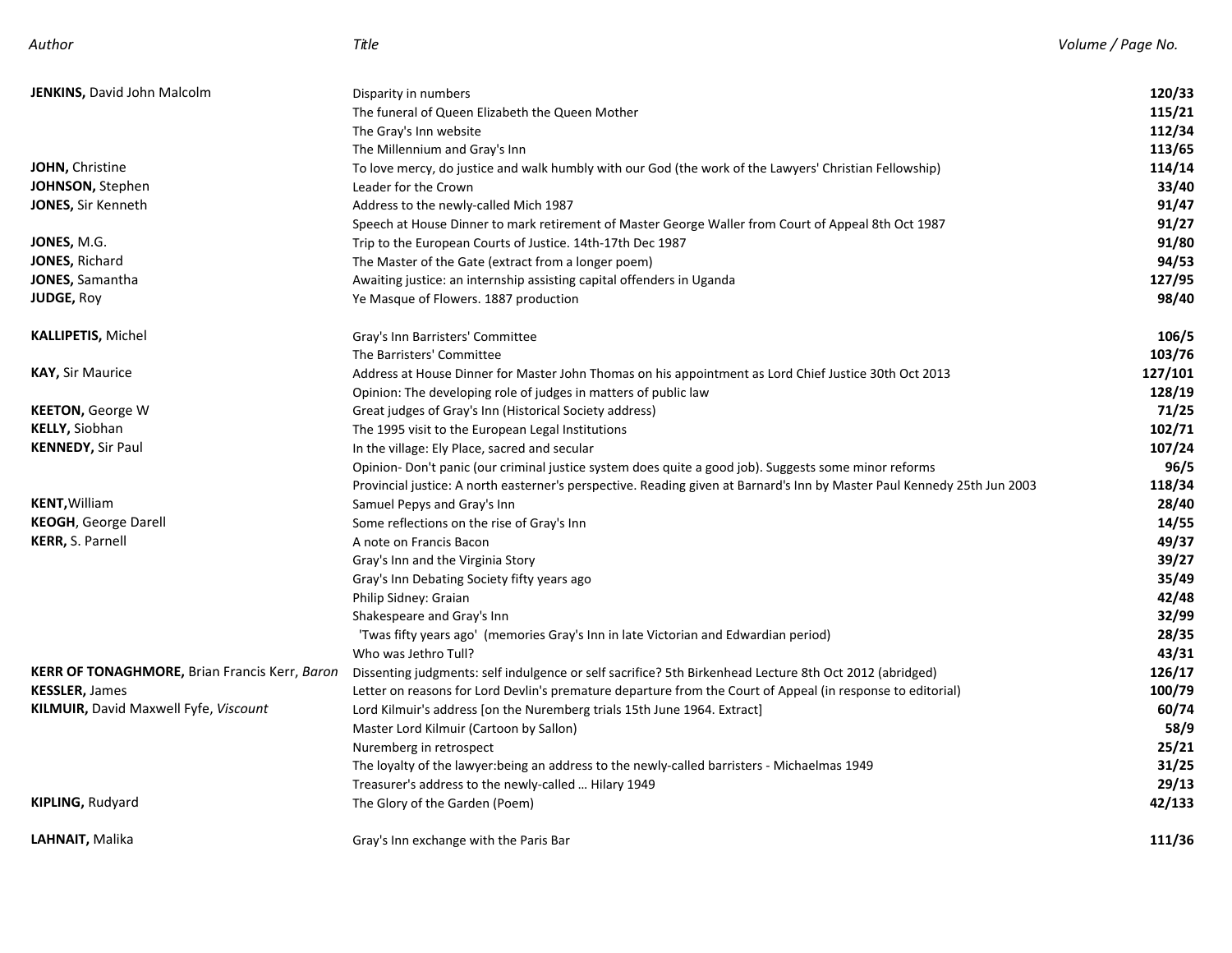| <b>JENKINS, David John Malcolm</b>                   | Disparity in numbers                                                                                                     | 120/33  |
|------------------------------------------------------|--------------------------------------------------------------------------------------------------------------------------|---------|
|                                                      | The funeral of Queen Elizabeth the Queen Mother                                                                          | 115/21  |
|                                                      | The Gray's Inn website                                                                                                   | 112/34  |
|                                                      | The Millennium and Gray's Inn                                                                                            | 113/65  |
| JOHN, Christine                                      | To love mercy, do justice and walk humbly with our God (the work of the Lawyers' Christian Fellowship)                   | 114/14  |
| JOHNSON, Stephen                                     | Leader for the Crown                                                                                                     | 33/40   |
| <b>JONES, Sir Kenneth</b>                            | Address to the newly-called Mich 1987                                                                                    | 91/47   |
|                                                      | Speech at House Dinner to mark retirement of Master George Waller from Court of Appeal 8th Oct 1987                      | 91/27   |
| JONES, M.G.                                          | Trip to the European Courts of Justice. 14th-17th Dec 1987                                                               | 91/80   |
| <b>JONES, Richard</b>                                | The Master of the Gate (extract from a longer poem)                                                                      | 94/53   |
| <b>JONES, Samantha</b>                               | Awaiting justice: an internship assisting capital offenders in Uganda                                                    | 127/95  |
| <b>JUDGE, Roy</b>                                    | Ye Masque of Flowers. 1887 production                                                                                    | 98/40   |
| <b>KALLIPETIS, Michel</b>                            | Gray's Inn Barristers' Committee                                                                                         | 106/5   |
|                                                      | The Barristers' Committee                                                                                                | 103/76  |
| <b>KAY, Sir Maurice</b>                              | Address at House Dinner for Master John Thomas on his appointment as Lord Chief Justice 30th Oct 2013                    | 127/101 |
|                                                      | Opinion: The developing role of judges in matters of public law                                                          | 128/19  |
| <b>KEETON, George W</b>                              | Great judges of Gray's Inn (Historical Society address)                                                                  | 71/25   |
| <b>KELLY, Siobhan</b>                                | The 1995 visit to the European Legal Institutions                                                                        | 102/71  |
| <b>KENNEDY, Sir Paul</b>                             | In the village: Ely Place, sacred and secular                                                                            | 107/24  |
|                                                      | Opinion- Don't panic (our criminal justice system does quite a good job). Suggests some minor reforms                    | 96/5    |
|                                                      | Provincial justice: A north easterner's perspective. Reading given at Barnard's Inn by Master Paul Kennedy 25th Jun 2003 | 118/34  |
| <b>KENT, William</b>                                 | Samuel Pepys and Gray's Inn                                                                                              | 28/40   |
| <b>KEOGH, George Darell</b>                          | Some reflections on the rise of Gray's Inn                                                                               | 14/55   |
| KERR, S. Parnell                                     | A note on Francis Bacon                                                                                                  | 49/37   |
|                                                      | Gray's Inn and the Virginia Story                                                                                        | 39/27   |
|                                                      | Gray's Inn Debating Society fifty years ago                                                                              | 35/49   |
|                                                      | Philip Sidney: Graian                                                                                                    | 42/48   |
|                                                      | Shakespeare and Gray's Inn                                                                                               | 32/99   |
|                                                      | 'Twas fifty years ago' (memories Gray's Inn in late Victorian and Edwardian period)                                      | 28/35   |
|                                                      | Who was Jethro Tull?                                                                                                     | 43/31   |
| <b>KERR OF TONAGHMORE, Brian Francis Kerr, Baron</b> | Dissenting judgments: self indulgence or self sacrifice? 5th Birkenhead Lecture 8th Oct 2012 (abridged)                  | 126/17  |
| <b>KESSLER, James</b>                                | Letter on reasons for Lord Devlin's premature departure from the Court of Appeal (in response to editorial)              | 100/79  |
| KILMUIR, David Maxwell Fyfe, Viscount                | Lord Kilmuir's address [on the Nuremberg trials 15th June 1964. Extract]                                                 | 60/74   |
|                                                      | Master Lord Kilmuir (Cartoon by Sallon)                                                                                  | 58/9    |
|                                                      | Nuremberg in retrospect                                                                                                  | 25/21   |
|                                                      | The loyalty of the lawyer: being an address to the newly-called barristers - Michaelmas 1949                             | 31/25   |
|                                                      | Treasurer's address to the newly-called  Hilary 1949                                                                     | 29/13   |
| <b>KIPLING, Rudyard</b>                              | The Glory of the Garden (Poem)                                                                                           | 42/133  |
| LAHNAIT, Malika                                      | Gray's Inn exchange with the Paris Bar                                                                                   | 111/36  |
|                                                      |                                                                                                                          |         |

*Author Title Volume / Page No.*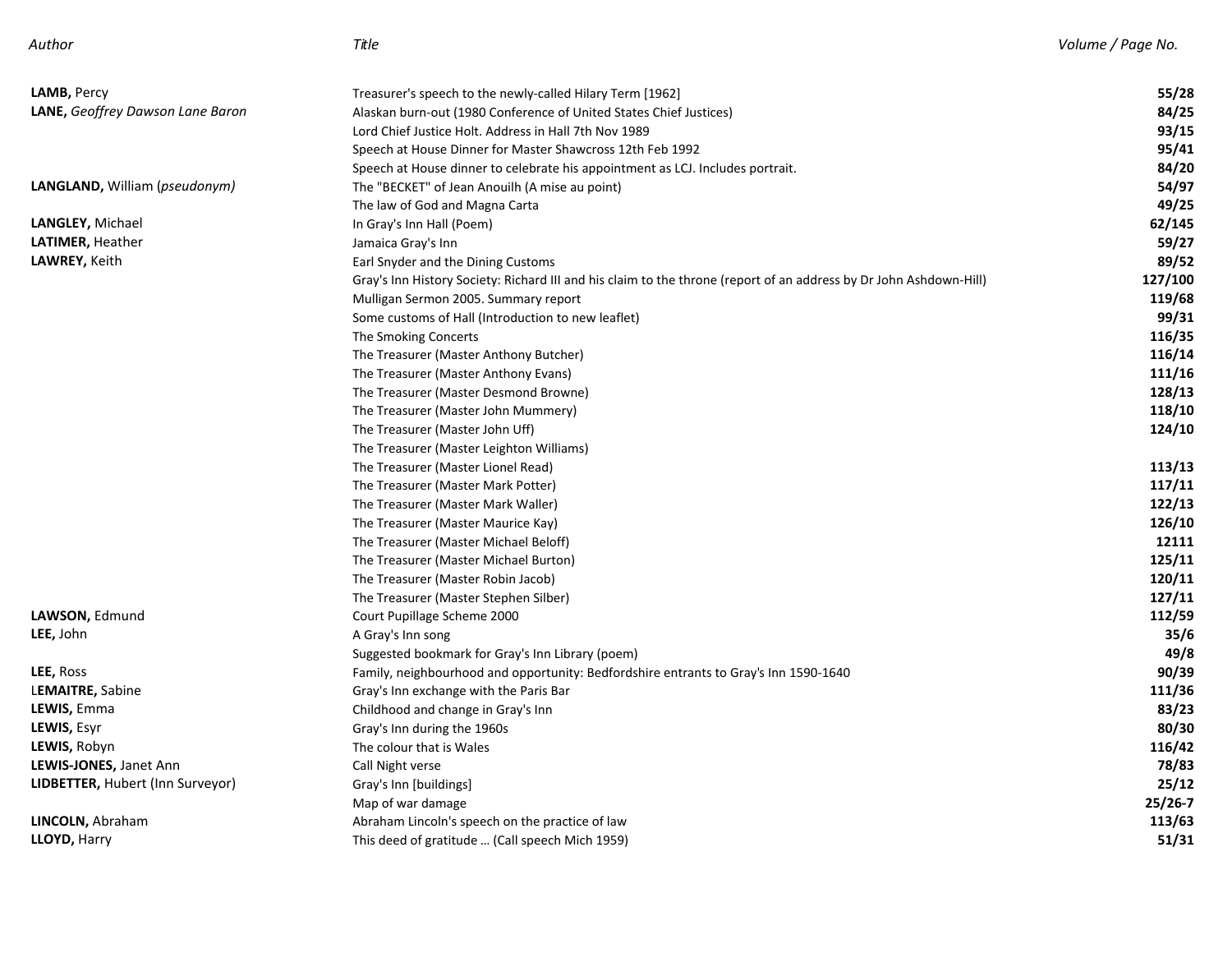| LAMB, Percy                             | Treasurer's speech to the newly-called Hilary Term [1962]                                                          | 55/28   |
|-----------------------------------------|--------------------------------------------------------------------------------------------------------------------|---------|
| <b>LANE, Geoffrey Dawson Lane Baron</b> | Alaskan burn-out (1980 Conference of United States Chief Justices)                                                 | 84/25   |
|                                         | Lord Chief Justice Holt. Address in Hall 7th Nov 1989                                                              | 93/15   |
|                                         | Speech at House Dinner for Master Shawcross 12th Feb 1992                                                          | 95/41   |
|                                         | Speech at House dinner to celebrate his appointment as LCJ. Includes portrait.                                     | 84/20   |
| LANGLAND, William (pseudonym)           | The "BECKET" of Jean Anouilh (A mise au point)                                                                     | 54/97   |
|                                         | The law of God and Magna Carta                                                                                     | 49/25   |
| LANGLEY, Michael                        | In Gray's Inn Hall (Poem)                                                                                          | 62/145  |
| LATIMER, Heather                        | Jamaica Gray's Inn                                                                                                 | 59/27   |
| LAWREY, Keith                           | Earl Snyder and the Dining Customs                                                                                 | 89/52   |
|                                         | Gray's Inn History Society: Richard III and his claim to the throne (report of an address by Dr John Ashdown-Hill) | 127/100 |
|                                         | Mulligan Sermon 2005. Summary report                                                                               | 119/68  |
|                                         | Some customs of Hall (Introduction to new leaflet)                                                                 | 99/31   |
|                                         | The Smoking Concerts                                                                                               | 116/35  |
|                                         | The Treasurer (Master Anthony Butcher)                                                                             | 116/14  |
|                                         | The Treasurer (Master Anthony Evans)                                                                               | 111/16  |
|                                         | The Treasurer (Master Desmond Browne)                                                                              | 128/13  |
|                                         | The Treasurer (Master John Mummery)                                                                                | 118/10  |
|                                         | The Treasurer (Master John Uff)                                                                                    | 124/10  |
|                                         | The Treasurer (Master Leighton Williams)                                                                           |         |
|                                         | The Treasurer (Master Lionel Read)                                                                                 | 113/13  |
|                                         | The Treasurer (Master Mark Potter)                                                                                 | 117/11  |
|                                         | The Treasurer (Master Mark Waller)                                                                                 | 122/13  |
|                                         | The Treasurer (Master Maurice Kay)                                                                                 | 126/10  |
|                                         | The Treasurer (Master Michael Beloff)                                                                              | 12111   |
|                                         | The Treasurer (Master Michael Burton)                                                                              | 125/11  |
|                                         | The Treasurer (Master Robin Jacob)                                                                                 | 120/11  |
|                                         | The Treasurer (Master Stephen Silber)                                                                              | 127/11  |
| LAWSON, Edmund                          | Court Pupillage Scheme 2000                                                                                        | 112/59  |
| <b>LEE,</b> John                        | A Gray's Inn song                                                                                                  | 35/6    |
|                                         | Suggested bookmark for Gray's Inn Library (poem)                                                                   | 49/8    |
| <b>LEE, Ross</b>                        | Family, neighbourhood and opportunity: Bedfordshire entrants to Gray's Inn 1590-1640                               | 90/39   |
| L <b>EMAITRE,</b> Sabine                | Gray's Inn exchange with the Paris Bar                                                                             | 111/36  |
| LEWIS, Emma                             | Childhood and change in Gray's Inn                                                                                 | 83/23   |
| LEWIS, Esyr                             | Gray's Inn during the 1960s                                                                                        | 80/30   |
| <b>LEWIS, Robyn</b>                     | The colour that is Wales                                                                                           | 116/42  |
| LEWIS-JONES, Janet Ann                  | Call Night verse                                                                                                   | 78/83   |
| LIDBETTER, Hubert (Inn Surveyor)        | Gray's Inn [buildings]                                                                                             | 25/12   |
|                                         | Map of war damage                                                                                                  | 25/26-7 |
| <b>LINCOLN, Abraham</b>                 | Abraham Lincoln's speech on the practice of law                                                                    | 113/63  |
| <b>LLOYD, Harry</b>                     | This deed of gratitude  (Call speech Mich 1959)                                                                    | 51/31   |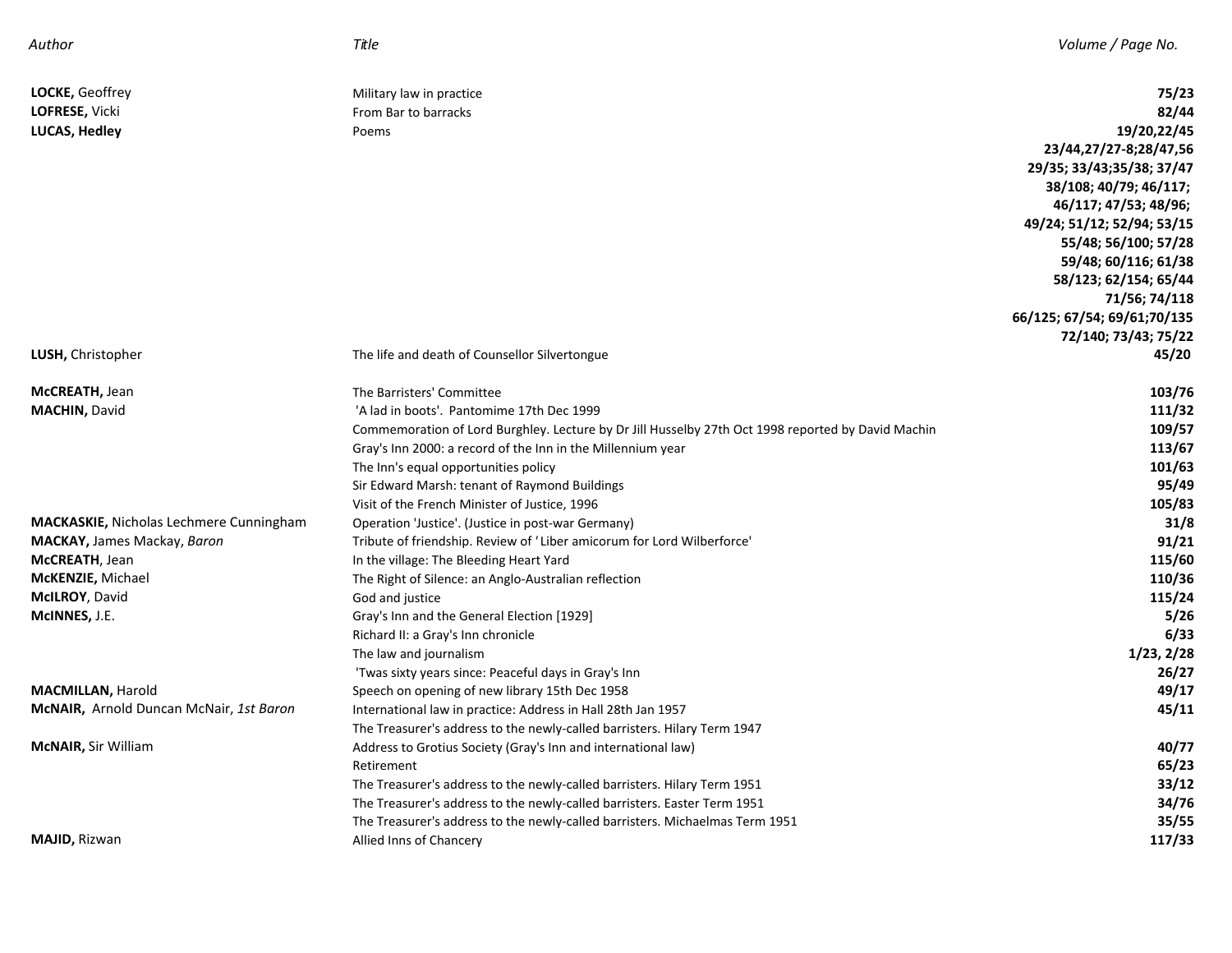| Author                                  | Title                                                                                              | Volume / Page No.           |
|-----------------------------------------|----------------------------------------------------------------------------------------------------|-----------------------------|
| LOCKE, Geoffrey                         | Military law in practice                                                                           | 75/23                       |
| LOFRESE, Vicki                          | From Bar to barracks                                                                               | 82/44                       |
| LUCAS, Hedley                           | Poems                                                                                              | 19/20,22/45                 |
|                                         |                                                                                                    | 23/44,27/27-8;28/47,56      |
|                                         |                                                                                                    | 29/35; 33/43;35/38; 37/47   |
|                                         |                                                                                                    | 38/108; 40/79; 46/117;      |
|                                         |                                                                                                    | 46/117; 47/53; 48/96;       |
|                                         |                                                                                                    | 49/24; 51/12; 52/94; 53/15  |
|                                         |                                                                                                    | 55/48; 56/100; 57/28        |
|                                         |                                                                                                    | 59/48; 60/116; 61/38        |
|                                         |                                                                                                    | 58/123; 62/154; 65/44       |
|                                         |                                                                                                    | 71/56; 74/118               |
|                                         |                                                                                                    | 66/125; 67/54; 69/61;70/135 |
|                                         |                                                                                                    | 72/140; 73/43; 75/22        |
| LUSH, Christopher                       | The life and death of Counsellor Silvertongue                                                      | 45/20                       |
| McCREATH, Jean                          | The Barristers' Committee                                                                          | 103/76                      |
| <b>MACHIN, David</b>                    | 'A lad in boots'. Pantomime 17th Dec 1999                                                          | 111/32                      |
|                                         | Commemoration of Lord Burghley. Lecture by Dr Jill Husselby 27th Oct 1998 reported by David Machin | 109/57                      |
|                                         | Gray's Inn 2000: a record of the Inn in the Millennium year                                        | 113/67                      |
|                                         | The Inn's equal opportunities policy                                                               | 101/63                      |
|                                         | Sir Edward Marsh: tenant of Raymond Buildings                                                      | 95/49                       |
|                                         | Visit of the French Minister of Justice, 1996                                                      | 105/83                      |
| MACKASKIE, Nicholas Lechmere Cunningham | Operation 'Justice'. (Justice in post-war Germany)                                                 | 31/8                        |
| <b>MACKAY, James Mackay, Baron</b>      | Tribute of friendship. Review of 'Liber amicorum for Lord Wilberforce'                             | 91/21                       |
| McCREATH, Jean                          | In the village: The Bleeding Heart Yard                                                            | 115/60                      |
| McKENZIE, Michael                       | The Right of Silence: an Anglo-Australian reflection                                               | 110/36                      |
| McILROY, David                          | God and justice                                                                                    | 115/24                      |
| McINNES, J.E.                           | Gray's Inn and the General Election [1929]                                                         | 5/26                        |
|                                         | Richard II: a Gray's Inn chronicle                                                                 | 6/33                        |
|                                         | The law and journalism                                                                             | 1/23, 2/28                  |
|                                         | 'Twas sixty years since: Peaceful days in Gray's Inn                                               | 26/27                       |
| <b>MACMILLAN, Harold</b>                | Speech on opening of new library 15th Dec 1958                                                     | 49/17                       |
| McNAIR, Arnold Duncan McNair, 1st Baron | International law in practice: Address in Hall 28th Jan 1957                                       | 45/11                       |
|                                         | The Treasurer's address to the newly-called barristers. Hilary Term 1947                           |                             |
| McNAIR, Sir William                     | Address to Grotius Society (Gray's Inn and international law)                                      | 40/77                       |
|                                         | Retirement                                                                                         | 65/23                       |
|                                         | The Treasurer's address to the newly-called barristers. Hilary Term 1951                           | 33/12                       |
|                                         | The Treasurer's address to the newly-called barristers. Easter Term 1951                           | 34/76                       |
|                                         | The Treasurer's address to the newly-called barristers. Michaelmas Term 1951                       | 35/55                       |
| <b>MAJID, Rizwan</b>                    | Allied Inns of Chancery                                                                            | 117/33                      |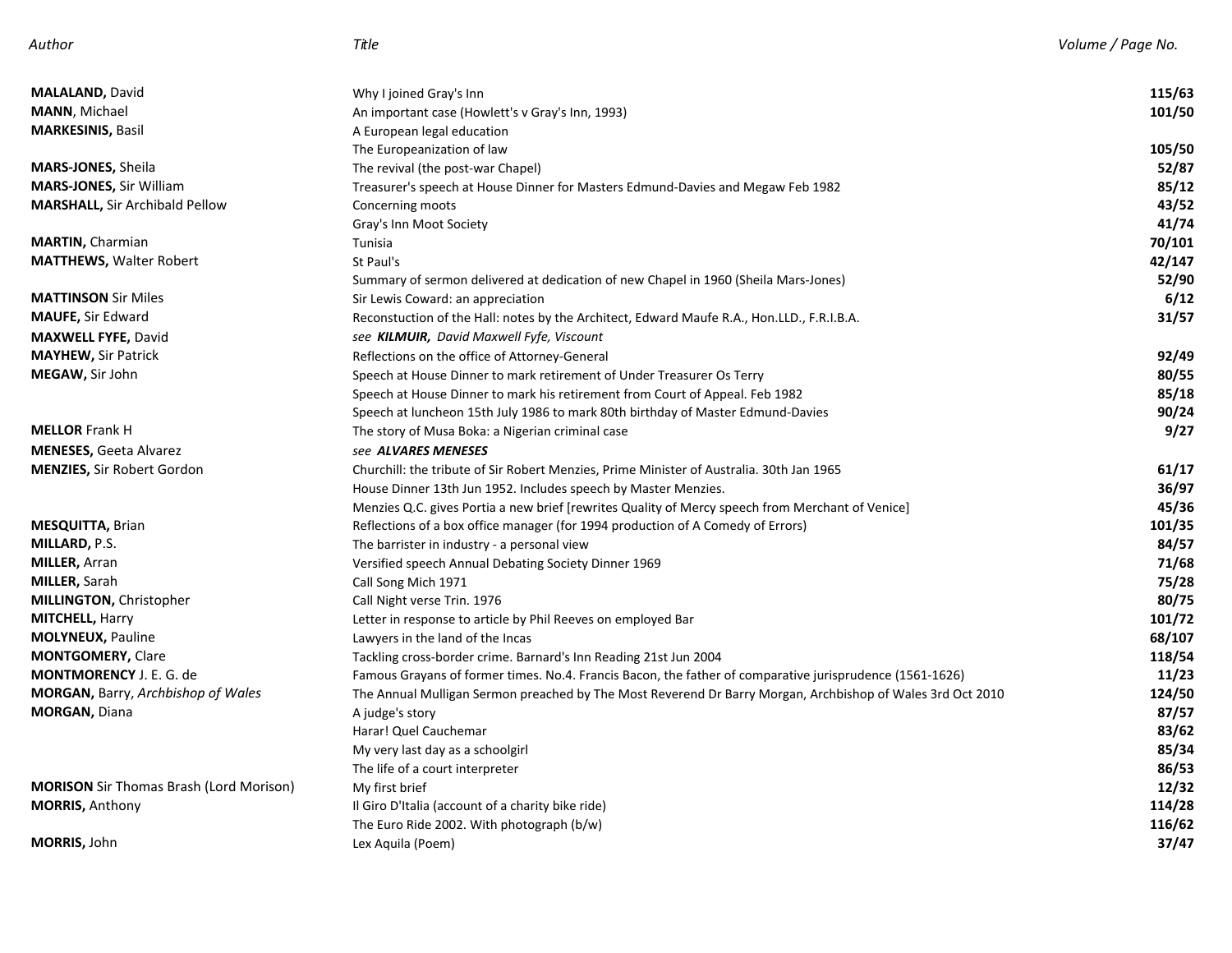| Author |  |
|--------|--|
|--------|--|

| <b>MALALAND, David</b>                         | Why I joined Gray's Inn                                                                                    | 115/63 |
|------------------------------------------------|------------------------------------------------------------------------------------------------------------|--------|
| <b>MANN</b> , Michael                          | An important case (Howlett's v Gray's Inn, 1993)                                                           | 101/50 |
| <b>MARKESINIS, Basil</b>                       | A European legal education                                                                                 |        |
|                                                | The Europeanization of law                                                                                 | 105/50 |
| <b>MARS-JONES,</b> Sheila                      | The revival (the post-war Chapel)                                                                          | 52/87  |
| <b>MARS-JONES, Sir William</b>                 | Treasurer's speech at House Dinner for Masters Edmund-Davies and Megaw Feb 1982                            | 85/12  |
| <b>MARSHALL, Sir Archibald Pellow</b>          | Concerning moots                                                                                           | 43/52  |
|                                                | Gray's Inn Moot Society                                                                                    | 41/74  |
| <b>MARTIN, Charmian</b>                        | Tunisia                                                                                                    | 70/101 |
| <b>MATTHEWS, Walter Robert</b>                 | St Paul's                                                                                                  | 42/147 |
|                                                | Summary of sermon delivered at dedication of new Chapel in 1960 (Sheila Mars-Jones)                        | 52/90  |
| <b>MATTINSON</b> Sir Miles                     | Sir Lewis Coward: an appreciation                                                                          | 6/12   |
| <b>MAUFE, Sir Edward</b>                       | Reconstuction of the Hall: notes by the Architect, Edward Maufe R.A., Hon.LLD., F.R.I.B.A.                 | 31/57  |
| <b>MAXWELL FYFE, David</b>                     | see KILMUIR, David Maxwell Fyfe, Viscount                                                                  |        |
| MAYHEW, Sir Patrick                            | Reflections on the office of Attorney-General                                                              | 92/49  |
| MEGAW, Sir John                                | Speech at House Dinner to mark retirement of Under Treasurer Os Terry                                      | 80/55  |
|                                                | Speech at House Dinner to mark his retirement from Court of Appeal. Feb 1982                               | 85/18  |
|                                                | Speech at luncheon 15th July 1986 to mark 80th birthday of Master Edmund-Davies                            | 90/24  |
| <b>MELLOR</b> Frank H                          | The story of Musa Boka: a Nigerian criminal case                                                           | 9/27   |
| <b>MENESES, Geeta Alvarez</b>                  | see ALVARES MENESES                                                                                        |        |
| <b>MENZIES,</b> Sir Robert Gordon              | Churchill: the tribute of Sir Robert Menzies, Prime Minister of Australia. 30th Jan 1965                   | 61/17  |
|                                                | House Dinner 13th Jun 1952. Includes speech by Master Menzies.                                             | 36/97  |
|                                                | Menzies Q.C. gives Portia a new brief [rewrites Quality of Mercy speech from Merchant of Venice]           | 45/36  |
| <b>MESQUITTA, Brian</b>                        | Reflections of a box office manager (for 1994 production of A Comedy of Errors)                            | 101/35 |
| <b>MILLARD, P.S.</b>                           | The barrister in industry - a personal view                                                                | 84/57  |
| <b>MILLER, Arran</b>                           | Versified speech Annual Debating Society Dinner 1969                                                       | 71/68  |
| <b>MILLER, Sarah</b>                           | Call Song Mich 1971                                                                                        | 75/28  |
| <b>MILLINGTON, Christopher</b>                 | Call Night verse Trin. 1976                                                                                | 80/75  |
| <b>MITCHELL, Harry</b>                         | Letter in response to article by Phil Reeves on employed Bar                                               | 101/72 |
| <b>MOLYNEUX</b> , Pauline                      | Lawyers in the land of the Incas                                                                           | 68/107 |
| <b>MONTGOMERY, Clare</b>                       | Tackling cross-border crime. Barnard's Inn Reading 21st Jun 2004                                           | 118/54 |
| <b>MONTMORENCY</b> J. E. G. de                 | Famous Grayans of former times. No.4. Francis Bacon, the father of comparative jurisprudence (1561-1626)   | 11/23  |
| MORGAN, Barry, Archbishop of Wales             | The Annual Mulligan Sermon preached by The Most Reverend Dr Barry Morgan, Archbishop of Wales 3rd Oct 2010 | 124/50 |
| <b>MORGAN, Diana</b>                           | A judge's story                                                                                            | 87/57  |
|                                                | Harar! Quel Cauchemar                                                                                      | 83/62  |
|                                                | My very last day as a schoolgirl                                                                           | 85/34  |
|                                                | The life of a court interpreter                                                                            | 86/53  |
| <b>MORISON</b> Sir Thomas Brash (Lord Morison) | My first brief                                                                                             | 12/32  |
| <b>MORRIS, Anthony</b>                         | Il Giro D'Italia (account of a charity bike ride)                                                          | 114/28 |
|                                                | The Euro Ride 2002. With photograph (b/w)                                                                  | 116/62 |
| <b>MORRIS, John</b>                            | Lex Aquila (Poem)                                                                                          | 37/47  |
|                                                |                                                                                                            |        |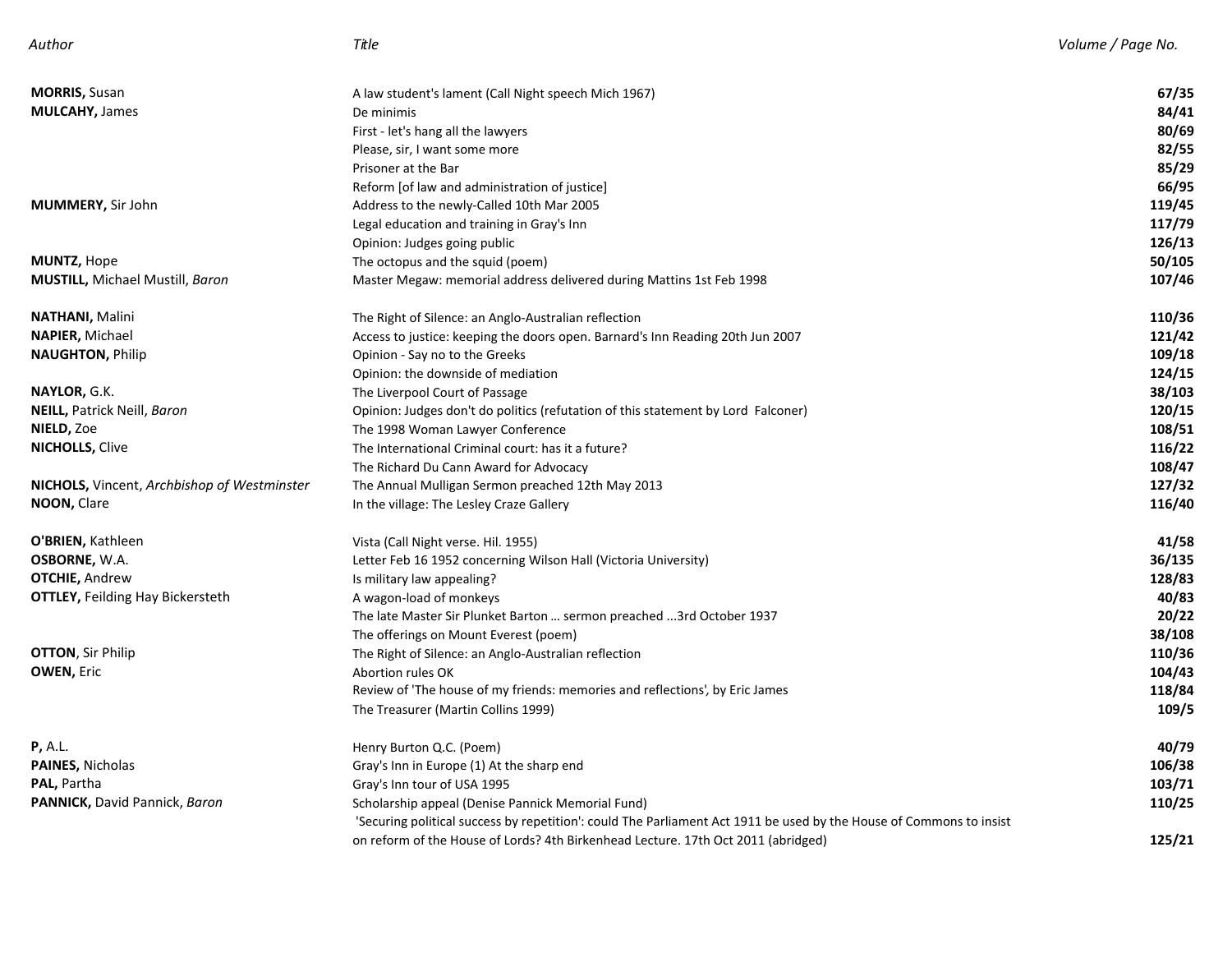| Author | Title | Volume / Page No. |
|--------|-------|-------------------|
|        |       |                   |

| <b>MORRIS, Susan</b>                               | A law student's lament (Call Night speech Mich 1967)                                                                | 67/35  |
|----------------------------------------------------|---------------------------------------------------------------------------------------------------------------------|--------|
| <b>MULCAHY, James</b>                              | De minimis                                                                                                          | 84/41  |
|                                                    | First - let's hang all the lawyers                                                                                  | 80/69  |
|                                                    | Please, sir, I want some more                                                                                       | 82/55  |
|                                                    | Prisoner at the Bar                                                                                                 | 85/29  |
|                                                    | Reform [of law and administration of justice]                                                                       | 66/95  |
| MUMMERY, Sir John                                  | Address to the newly-Called 10th Mar 2005                                                                           | 119/45 |
|                                                    | Legal education and training in Gray's Inn                                                                          | 117/79 |
|                                                    | Opinion: Judges going public                                                                                        | 126/13 |
| <b>MUNTZ, Hope</b>                                 | The octopus and the squid (poem)                                                                                    | 50/105 |
| MUSTILL, Michael Mustill, Baron                    | Master Megaw: memorial address delivered during Mattins 1st Feb 1998                                                | 107/46 |
| NATHANI, Malini                                    | The Right of Silence: an Anglo-Australian reflection                                                                | 110/36 |
| <b>NAPIER, Michael</b>                             | Access to justice: keeping the doors open. Barnard's Inn Reading 20th Jun 2007                                      | 121/42 |
| <b>NAUGHTON, Philip</b>                            | Opinion - Say no to the Greeks                                                                                      | 109/18 |
|                                                    | Opinion: the downside of mediation                                                                                  | 124/15 |
| <b>NAYLOR,</b> G.K.                                | The Liverpool Court of Passage                                                                                      | 38/103 |
| <b>NEILL,</b> Patrick Neill, <i>Baron</i>          | Opinion: Judges don't do politics (refutation of this statement by Lord Falconer)                                   | 120/15 |
| NIELD, Zoe                                         | The 1998 Woman Lawyer Conference                                                                                    | 108/51 |
| <b>NICHOLLS, Clive</b>                             | The International Criminal court: has it a future?                                                                  | 116/22 |
|                                                    | The Richard Du Cann Award for Advocacy                                                                              | 108/47 |
| <b>NICHOLS,</b> Vincent, Archbishop of Westminster | The Annual Mulligan Sermon preached 12th May 2013                                                                   | 127/32 |
| NOON, Clare                                        | In the village: The Lesley Craze Gallery                                                                            | 116/40 |
| O'BRIEN, Kathleen                                  | Vista (Call Night verse. Hil. 1955)                                                                                 | 41/58  |
| OSBORNE, W.A.                                      | Letter Feb 16 1952 concerning Wilson Hall (Victoria University)                                                     | 36/135 |
| <b>OTCHIE, Andrew</b>                              | Is military law appealing?                                                                                          | 128/83 |
| <b>OTTLEY, Feilding Hay Bickersteth</b>            | A wagon-load of monkeys                                                                                             | 40/83  |
|                                                    | The late Master Sir Plunket Barton  sermon preached 3rd October 1937                                                | 20/22  |
|                                                    | The offerings on Mount Everest (poem)                                                                               | 38/108 |
| <b>OTTON, Sir Philip</b>                           | The Right of Silence: an Anglo-Australian reflection                                                                | 110/36 |
| <b>OWEN, Eric</b>                                  | Abortion rules OK                                                                                                   | 104/43 |
|                                                    | Review of 'The house of my friends: memories and reflections', by Eric James                                        | 118/84 |
|                                                    | The Treasurer (Martin Collins 1999)                                                                                 | 109/5  |
| P, A.L.                                            | Henry Burton Q.C. (Poem)                                                                                            | 40/79  |
| <b>PAINES, Nicholas</b>                            | Gray's Inn in Europe (1) At the sharp end                                                                           | 106/38 |
| PAL, Partha                                        | Gray's Inn tour of USA 1995                                                                                         | 103/71 |
| PANNICK, David Pannick, Baron                      | Scholarship appeal (Denise Pannick Memorial Fund)                                                                   | 110/25 |
|                                                    | 'Securing political success by repetition': could The Parliament Act 1911 be used by the House of Commons to insist |        |
|                                                    | on reform of the House of Lords? 4th Birkenhead Lecture. 17th Oct 2011 (abridged)                                   | 125/21 |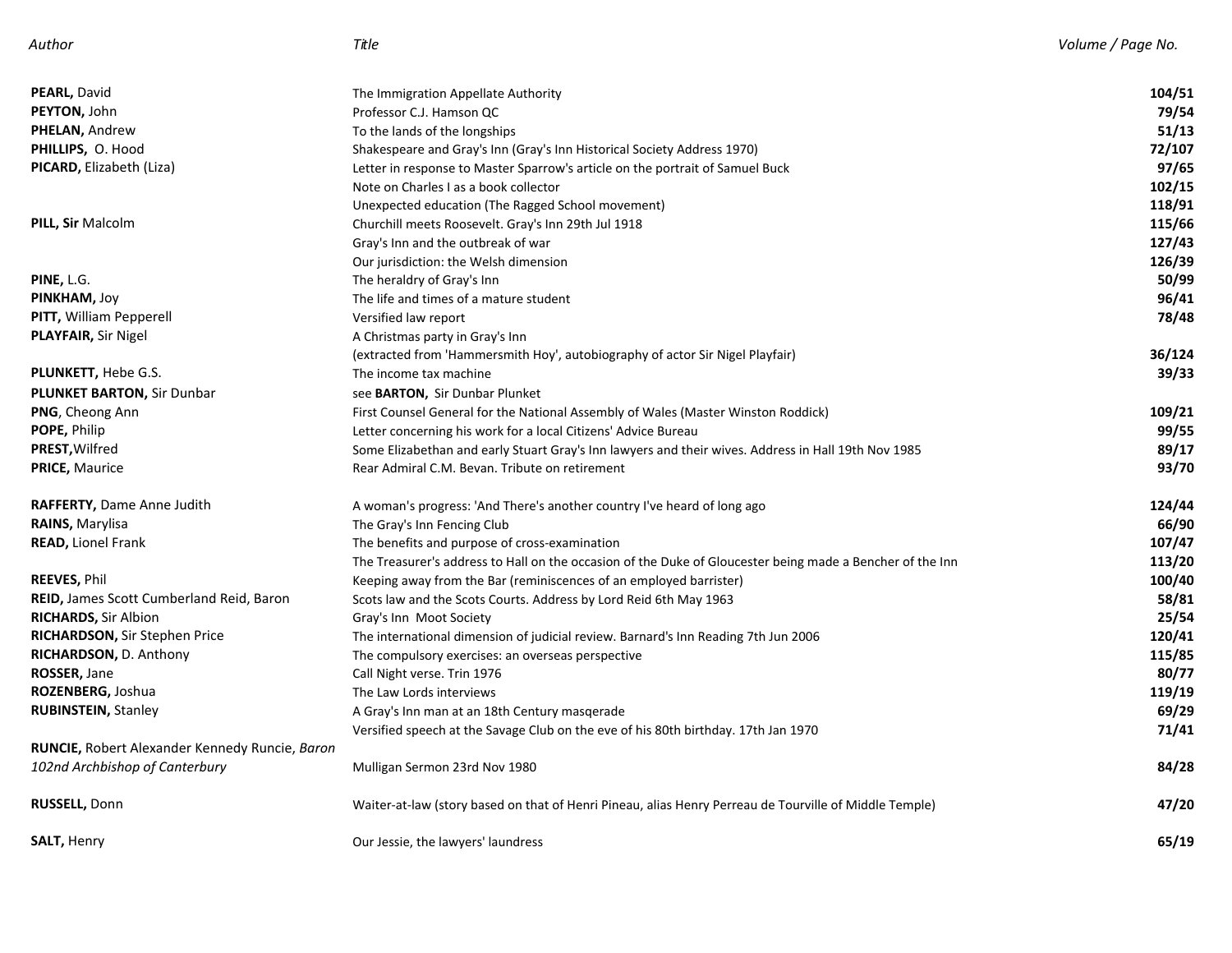| PEARL, David                                          | The Immigration Appellate Authority                                                                       | 104/51 |
|-------------------------------------------------------|-----------------------------------------------------------------------------------------------------------|--------|
| PEYTON, John                                          | Professor C.J. Hamson QC                                                                                  | 79/54  |
| <b>PHELAN, Andrew</b>                                 | To the lands of the longships                                                                             | 51/13  |
| PHILLIPS, O. Hood                                     | Shakespeare and Gray's Inn (Gray's Inn Historical Society Address 1970)                                   | 72/107 |
| <b>PICARD, Elizabeth (Liza)</b>                       | Letter in response to Master Sparrow's article on the portrait of Samuel Buck                             | 97/65  |
|                                                       | Note on Charles I as a book collector                                                                     | 102/15 |
|                                                       | Unexpected education (The Ragged School movement)                                                         | 118/91 |
| <b>PILL, Sir Malcolm</b>                              | Churchill meets Roosevelt. Gray's Inn 29th Jul 1918                                                       | 115/66 |
|                                                       | Gray's Inn and the outbreak of war                                                                        | 127/43 |
|                                                       | Our jurisdiction: the Welsh dimension                                                                     | 126/39 |
| PINE, L.G.                                            | The heraldry of Gray's Inn                                                                                | 50/99  |
| PINKHAM, Joy                                          | The life and times of a mature student                                                                    | 96/41  |
| <b>PITT, William Pepperell</b>                        | Versified law report                                                                                      | 78/48  |
| <b>PLAYFAIR, Sir Nigel</b>                            | A Christmas party in Gray's Inn                                                                           |        |
|                                                       | (extracted from 'Hammersmith Hoy', autobiography of actor Sir Nigel Playfair)                             | 36/124 |
| <b>PLUNKETT, Hebe G.S.</b>                            | The income tax machine                                                                                    | 39/33  |
| <b>PLUNKET BARTON, Sir Dunbar</b>                     | see BARTON, Sir Dunbar Plunket                                                                            |        |
| <b>PNG, Cheong Ann</b>                                | First Counsel General for the National Assembly of Wales (Master Winston Roddick)                         | 109/21 |
| POPE, Philip                                          | Letter concerning his work for a local Citizens' Advice Bureau                                            | 99/55  |
| PREST, Wilfred                                        | Some Elizabethan and early Stuart Gray's Inn lawyers and their wives. Address in Hall 19th Nov 1985       | 89/17  |
| <b>PRICE, Maurice</b>                                 | Rear Admiral C.M. Bevan. Tribute on retirement                                                            | 93/70  |
| <b>RAFFERTY, Dame Anne Judith</b>                     | A woman's progress: 'And There's another country I've heard of long ago                                   | 124/44 |
| <b>RAINS, Marylisa</b>                                | The Gray's Inn Fencing Club                                                                               | 66/90  |
| <b>READ, Lionel Frank</b>                             | The benefits and purpose of cross-examination                                                             | 107/47 |
|                                                       | The Treasurer's address to Hall on the occasion of the Duke of Gloucester being made a Bencher of the Inn | 113/20 |
| <b>REEVES, Phil</b>                                   | Keeping away from the Bar (reminiscences of an employed barrister)                                        | 100/40 |
| <b>REID, James Scott Cumberland Reid, Baron</b>       | Scots law and the Scots Courts. Address by Lord Reid 6th May 1963                                         | 58/81  |
| <b>RICHARDS, Sir Albion</b>                           | Gray's Inn Moot Society                                                                                   | 25/54  |
| <b>RICHARDSON, Sir Stephen Price</b>                  | The international dimension of judicial review. Barnard's Inn Reading 7th Jun 2006                        | 120/41 |
| RICHARDSON, D. Anthony                                | The compulsory exercises: an overseas perspective                                                         | 115/85 |
| ROSSER, Jane                                          | Call Night verse. Trin 1976                                                                               | 80/77  |
| ROZENBERG, Joshua                                     | The Law Lords interviews                                                                                  | 119/19 |
| <b>RUBINSTEIN, Stanley</b>                            | A Gray's Inn man at an 18th Century masgerade                                                             | 69/29  |
|                                                       | Versified speech at the Savage Club on the eve of his 80th birthday. 17th Jan 1970                        | 71/41  |
| <b>RUNCIE, Robert Alexander Kennedy Runcie, Baron</b> |                                                                                                           |        |
| 102nd Archbishop of Canterbury                        | Mulligan Sermon 23rd Nov 1980                                                                             | 84/28  |
| <b>RUSSELL, Donn</b>                                  | Waiter-at-law (story based on that of Henri Pineau, alias Henry Perreau de Tourville of Middle Temple)    | 47/20  |
| <b>SALT, Henry</b>                                    | Our Jessie, the lawyers' laundress                                                                        | 65/19  |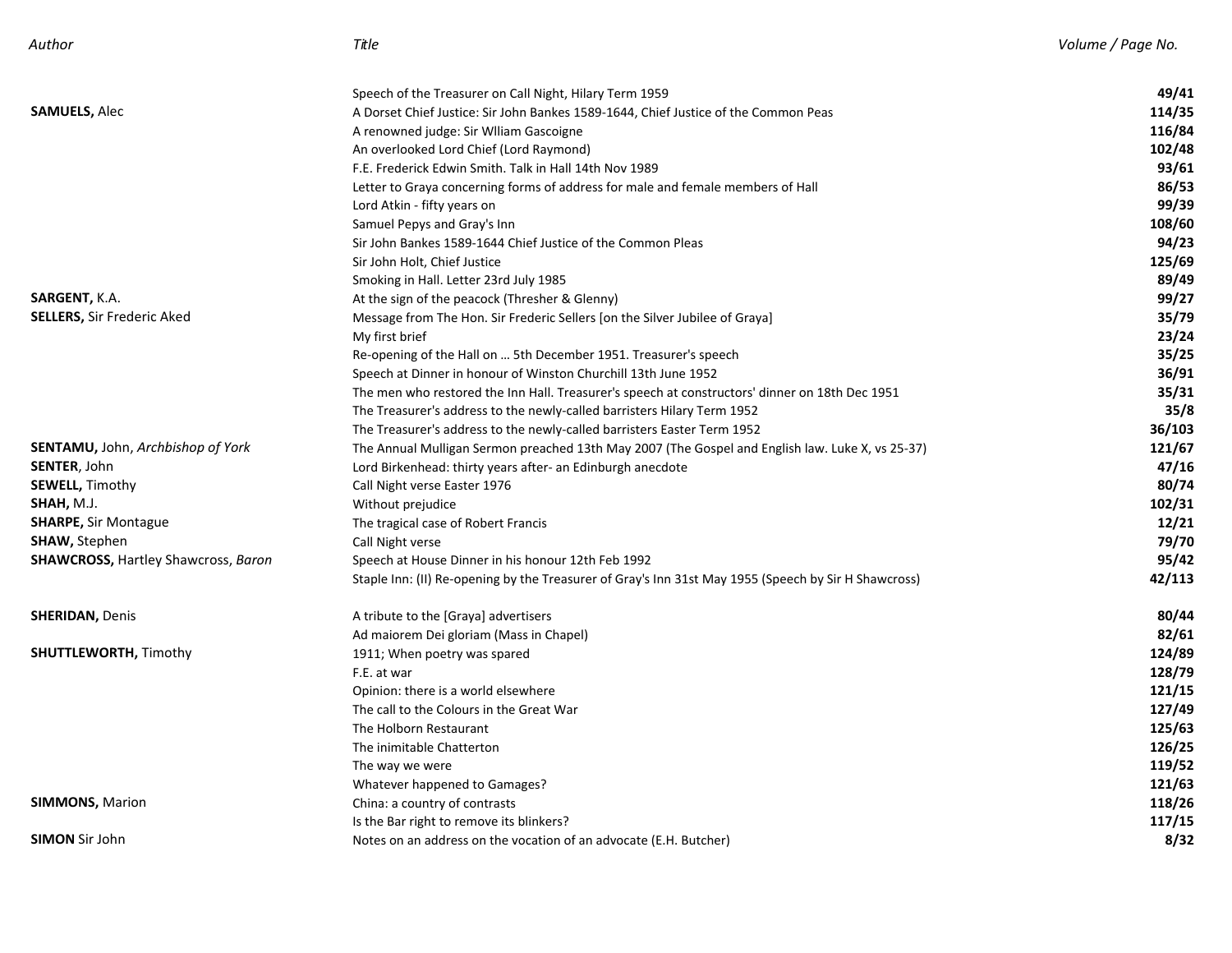| Author | $\sim$<br>Title | Volume | ' Paae No. |
|--------|-----------------|--------|------------|
|--------|-----------------|--------|------------|

|                                            | Speech of the Treasurer on Call Night, Hilary Term 1959                                              | 49/41  |
|--------------------------------------------|------------------------------------------------------------------------------------------------------|--------|
| SAMUELS, Alec                              | A Dorset Chief Justice: Sir John Bankes 1589-1644, Chief Justice of the Common Peas                  | 114/35 |
|                                            | A renowned judge: Sir Wlliam Gascoigne                                                               | 116/84 |
|                                            | An overlooked Lord Chief (Lord Raymond)                                                              | 102/48 |
|                                            | F.E. Frederick Edwin Smith. Talk in Hall 14th Nov 1989                                               | 93/61  |
|                                            | Letter to Graya concerning forms of address for male and female members of Hall                      | 86/53  |
|                                            | Lord Atkin - fifty years on                                                                          | 99/39  |
|                                            | Samuel Pepys and Gray's Inn                                                                          | 108/60 |
|                                            | Sir John Bankes 1589-1644 Chief Justice of the Common Pleas                                          | 94/23  |
|                                            | Sir John Holt, Chief Justice                                                                         | 125/69 |
|                                            | Smoking in Hall. Letter 23rd July 1985                                                               | 89/49  |
| SARGENT, K.A.                              | At the sign of the peacock (Thresher & Glenny)                                                       | 99/27  |
| <b>SELLERS,</b> Sir Frederic Aked          | Message from The Hon. Sir Frederic Sellers [on the Silver Jubilee of Graya]                          | 35/79  |
|                                            | My first brief                                                                                       | 23/24  |
|                                            | Re-opening of the Hall on  5th December 1951. Treasurer's speech                                     | 35/25  |
|                                            | Speech at Dinner in honour of Winston Churchill 13th June 1952                                       | 36/91  |
|                                            | The men who restored the Inn Hall. Treasurer's speech at constructors' dinner on 18th Dec 1951       | 35/31  |
|                                            | The Treasurer's address to the newly-called barristers Hilary Term 1952                              | 35/8   |
|                                            | The Treasurer's address to the newly-called barristers Easter Term 1952                              | 36/103 |
| <b>SENTAMU,</b> John, Archbishop of York   | The Annual Mulligan Sermon preached 13th May 2007 (The Gospel and English law. Luke X, vs 25-37)     | 121/67 |
| <b>SENTER</b> , John                       | Lord Birkenhead: thirty years after- an Edinburgh anecdote                                           | 47/16  |
| <b>SEWELL, Timothy</b>                     | Call Night verse Easter 1976                                                                         | 80/74  |
| <b>SHAH,</b> M.J.                          | Without prejudice                                                                                    | 102/31 |
| <b>SHARPE, Sir Montague</b>                | The tragical case of Robert Francis                                                                  | 12/21  |
| SHAW, Stephen                              | Call Night verse                                                                                     | 79/70  |
| <b>SHAWCROSS, Hartley Shawcross, Baron</b> | Speech at House Dinner in his honour 12th Feb 1992                                                   | 95/42  |
|                                            | Staple Inn: (II) Re-opening by the Treasurer of Gray's Inn 31st May 1955 (Speech by Sir H Shawcross) | 42/113 |
| <b>SHERIDAN,</b> Denis                     | A tribute to the [Graya] advertisers                                                                 | 80/44  |
|                                            | Ad maiorem Dei gloriam (Mass in Chapel)                                                              | 82/61  |
| <b>SHUTTLEWORTH, Timothy</b>               | 1911; When poetry was spared                                                                         | 124/89 |
|                                            | F.E. at war                                                                                          | 128/79 |
|                                            | Opinion: there is a world elsewhere                                                                  | 121/15 |
|                                            | The call to the Colours in the Great War                                                             | 127/49 |
|                                            | The Holborn Restaurant                                                                               | 125/63 |
|                                            | The inimitable Chatterton                                                                            | 126/25 |
|                                            | The way we were                                                                                      | 119/52 |
|                                            | Whatever happened to Gamages?                                                                        | 121/63 |
| <b>SIMMONS, Marion</b>                     | China: a country of contrasts                                                                        | 118/26 |
|                                            | Is the Bar right to remove its blinkers?                                                             | 117/15 |
| <b>SIMON</b> Sir John                      | Notes on an address on the vocation of an advocate (E.H. Butcher)                                    | 8/32   |
|                                            |                                                                                                      |        |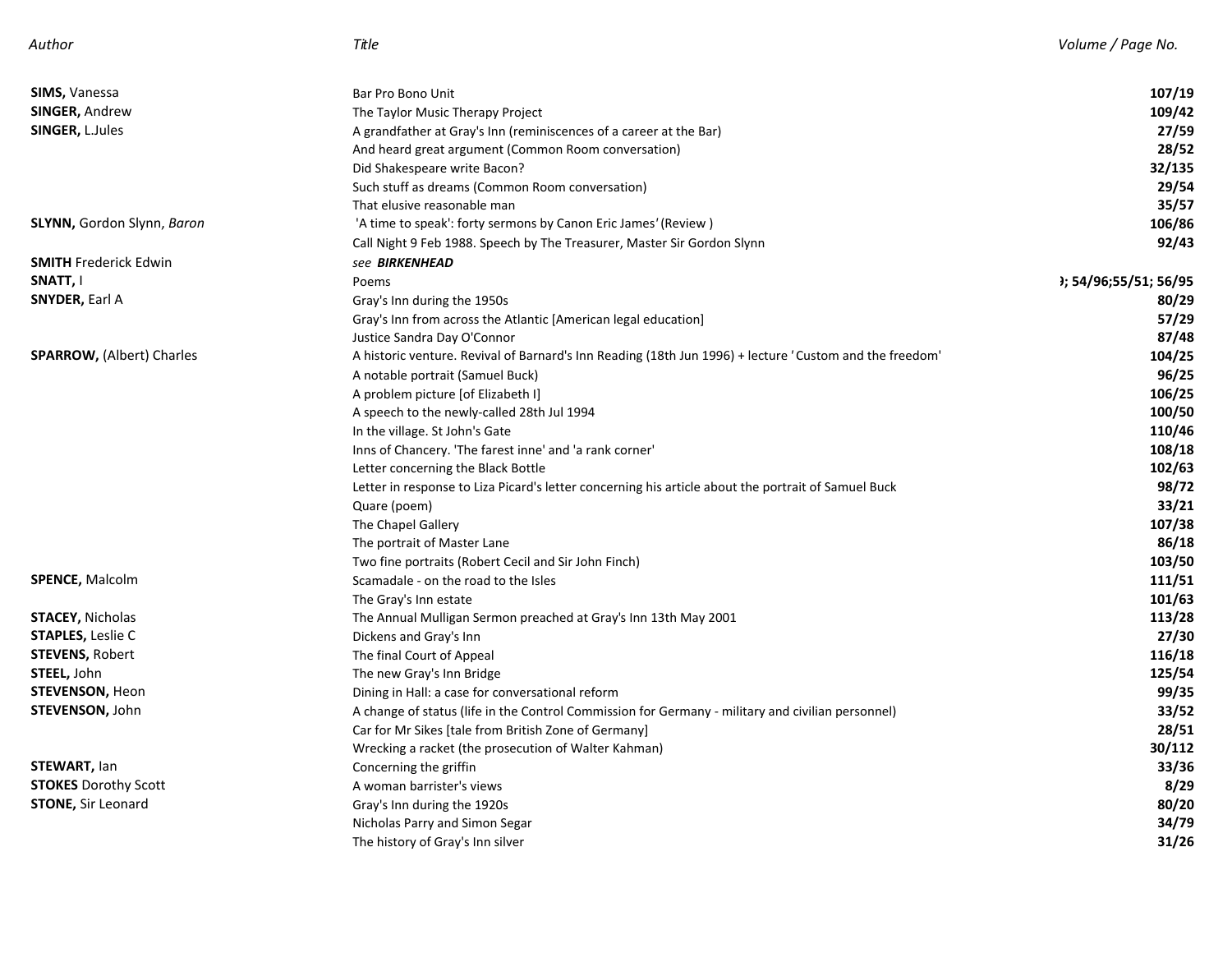| Author | $\sim$<br>Title | Volume | ' Paae No. |
|--------|-----------------|--------|------------|
|--------|-----------------|--------|------------|

| <b>SIMS, Vanessa</b><br><b>SINGER, Andrew</b> | Bar Pro Bono Unit                                                                                       | 107/19<br>109/42                  |
|-----------------------------------------------|---------------------------------------------------------------------------------------------------------|-----------------------------------|
| <b>SINGER, L.Jules</b>                        | The Taylor Music Therapy Project                                                                        | 27/59                             |
|                                               | A grandfather at Gray's Inn (reminiscences of a career at the Bar)                                      | 28/52                             |
|                                               | And heard great argument (Common Room conversation)                                                     |                                   |
|                                               | Did Shakespeare write Bacon?                                                                            | 32/135                            |
|                                               | Such stuff as dreams (Common Room conversation)                                                         | 29/54                             |
|                                               | That elusive reasonable man                                                                             | 35/57                             |
| <b>SLYNN, Gordon Slynn, Baron</b>             | 'A time to speak': forty sermons by Canon Eric James' (Review)                                          | 106/86                            |
|                                               | Call Night 9 Feb 1988. Speech by The Treasurer, Master Sir Gordon Slynn                                 | 92/43                             |
| <b>SMITH Frederick Edwin</b>                  | see <b>BIRKENHEAD</b>                                                                                   |                                   |
| SNATT, I                                      | Poems                                                                                                   | <sup>3</sup> ; 54/96;55/51; 56/95 |
| <b>SNYDER, Earl A</b>                         | Gray's Inn during the 1950s                                                                             | 80/29                             |
|                                               | Gray's Inn from across the Atlantic [American legal education]                                          | 57/29                             |
|                                               | Justice Sandra Day O'Connor                                                                             | 87/48                             |
| <b>SPARROW, (Albert) Charles</b>              | A historic venture. Revival of Barnard's Inn Reading (18th Jun 1996) + lecture 'Custom and the freedom' | 104/25                            |
|                                               | A notable portrait (Samuel Buck)                                                                        | 96/25                             |
|                                               | A problem picture [of Elizabeth I]                                                                      | 106/25                            |
|                                               | A speech to the newly-called 28th Jul 1994                                                              | 100/50                            |
|                                               | In the village. St John's Gate                                                                          | 110/46                            |
|                                               | Inns of Chancery. 'The farest inne' and 'a rank corner'                                                 | 108/18                            |
|                                               | Letter concerning the Black Bottle                                                                      | 102/63                            |
|                                               | Letter in response to Liza Picard's letter concerning his article about the portrait of Samuel Buck     | 98/72                             |
|                                               | Quare (poem)                                                                                            | 33/21                             |
|                                               | The Chapel Gallery                                                                                      | 107/38                            |
|                                               | The portrait of Master Lane                                                                             | 86/18                             |
|                                               | Two fine portraits (Robert Cecil and Sir John Finch)                                                    | 103/50                            |
| <b>SPENCE, Malcolm</b>                        | Scamadale - on the road to the Isles                                                                    | 111/51                            |
|                                               | The Gray's Inn estate                                                                                   | 101/63                            |
| <b>STACEY, Nicholas</b>                       | The Annual Mulligan Sermon preached at Gray's Inn 13th May 2001                                         | 113/28                            |
| <b>STAPLES, Leslie C</b>                      | Dickens and Gray's Inn                                                                                  | 27/30                             |
| <b>STEVENS, Robert</b>                        | The final Court of Appeal                                                                               | 116/18                            |
| STEEL, John                                   | The new Gray's Inn Bridge                                                                               | 125/54                            |
| <b>STEVENSON, Heon</b>                        | Dining in Hall: a case for conversational reform                                                        | 99/35                             |
| <b>STEVENSON, John</b>                        | A change of status (life in the Control Commission for Germany - military and civilian personnel)       | 33/52                             |
|                                               | Car for Mr Sikes [tale from British Zone of Germany]                                                    | 28/51                             |
|                                               | Wrecking a racket (the prosecution of Walter Kahman)                                                    | 30/112                            |
| <b>STEWART, lan</b>                           | Concerning the griffin                                                                                  | 33/36                             |
| <b>STOKES</b> Dorothy Scott                   | A woman barrister's views                                                                               | 8/29                              |
| <b>STONE, Sir Leonard</b>                     | Gray's Inn during the 1920s                                                                             | 80/20                             |
|                                               | Nicholas Parry and Simon Segar                                                                          | 34/79                             |
|                                               | The history of Gray's Inn silver                                                                        | 31/26                             |
|                                               |                                                                                                         |                                   |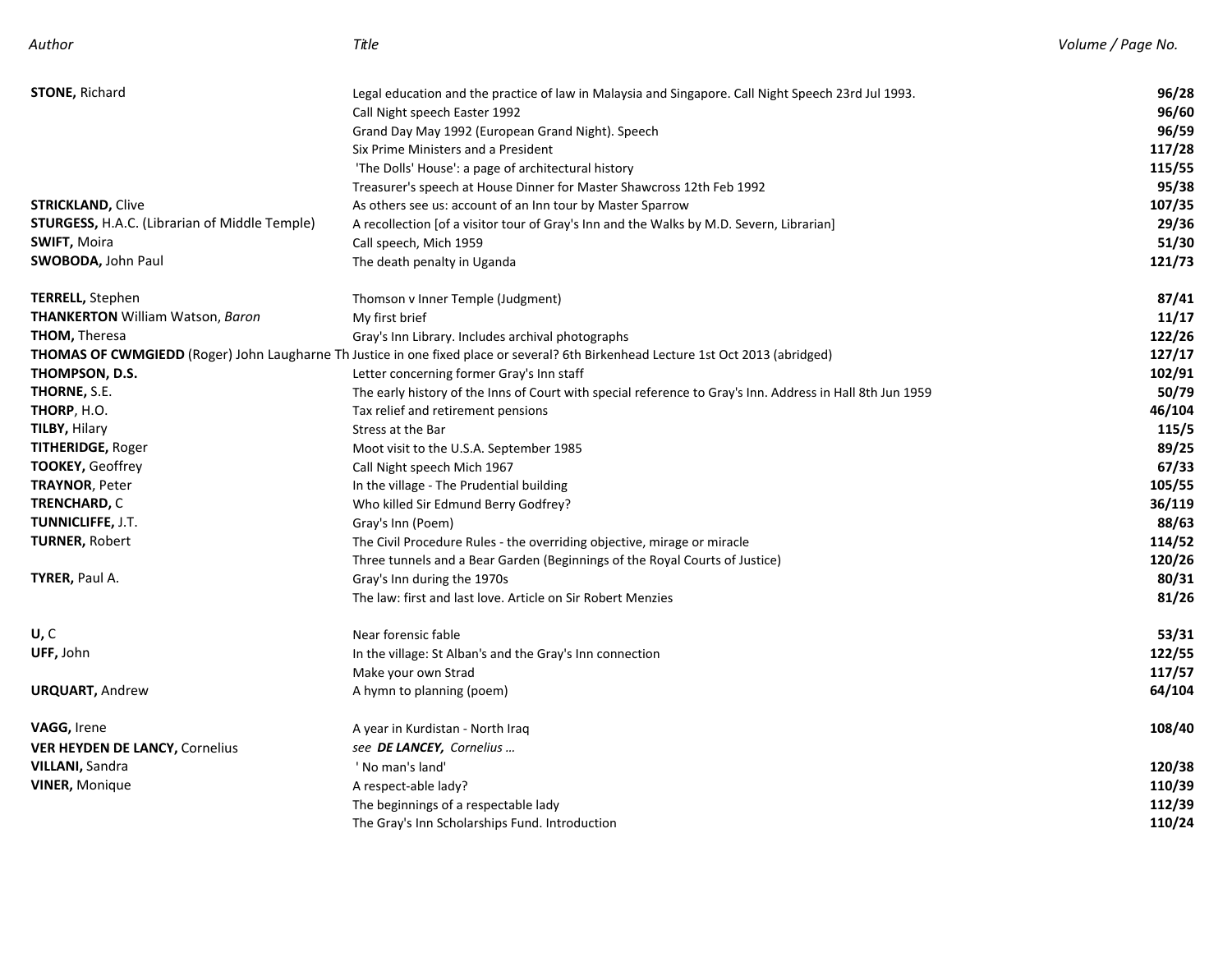| Author                                               | Title                                                                                                                              | Volume / Page No. |
|------------------------------------------------------|------------------------------------------------------------------------------------------------------------------------------------|-------------------|
| <b>STONE, Richard</b>                                | Legal education and the practice of law in Malaysia and Singapore. Call Night Speech 23rd Jul 1993.                                | 96/28             |
|                                                      | Call Night speech Easter 1992                                                                                                      | 96/60             |
|                                                      | Grand Day May 1992 (European Grand Night). Speech                                                                                  | 96/59             |
|                                                      | Six Prime Ministers and a President                                                                                                | 117/28            |
|                                                      | 'The Dolls' House': a page of architectural history                                                                                | 115/55            |
|                                                      | Treasurer's speech at House Dinner for Master Shawcross 12th Feb 1992                                                              | 95/38             |
| <b>STRICKLAND, Clive</b>                             | As others see us: account of an Inn tour by Master Sparrow                                                                         | 107/35            |
| <b>STURGESS, H.A.C. (Librarian of Middle Temple)</b> | A recollection [of a visitor tour of Gray's Inn and the Walks by M.D. Severn, Librarian]                                           | 29/36             |
| <b>SWIFT, Moira</b>                                  | Call speech, Mich 1959                                                                                                             | 51/30             |
| <b>SWOBODA, John Paul</b>                            | The death penalty in Uganda                                                                                                        | 121/73            |
| <b>TERRELL, Stephen</b>                              | Thomson v Inner Temple (Judgment)                                                                                                  | 87/41             |
| <b>THANKERTON</b> William Watson, Baron              | My first brief                                                                                                                     | 11/17             |
| <b>THOM, Theresa</b>                                 | Gray's Inn Library. Includes archival photographs                                                                                  | 122/26            |
|                                                      | THOMAS OF CWMGIEDD (Roger) John Laugharne Th Justice in one fixed place or several? 6th Birkenhead Lecture 1st Oct 2013 (abridged) | 127/17            |
| THOMPSON, D.S.                                       | Letter concerning former Gray's Inn staff                                                                                          | 102/91            |
| <b>THORNE, S.E.</b>                                  | The early history of the Inns of Court with special reference to Gray's Inn. Address in Hall 8th Jun 1959                          | 50/79             |
| THORP, H.O.                                          | Tax relief and retirement pensions                                                                                                 | 46/104            |
| TILBY, Hilary                                        | Stress at the Bar                                                                                                                  | 115/5             |
| <b>TITHERIDGE, Roger</b>                             | Moot visit to the U.S.A. September 1985                                                                                            | 89/25             |
| <b>TOOKEY, Geoffrey</b>                              | Call Night speech Mich 1967                                                                                                        | 67/33             |
| <b>TRAYNOR, Peter</b>                                | In the village - The Prudential building                                                                                           | 105/55            |
| TRENCHARD, C                                         | Who killed Sir Edmund Berry Godfrey?                                                                                               | 36/119            |
| <b>TUNNICLIFFE, J.T.</b>                             | Gray's Inn (Poem)                                                                                                                  | 88/63             |
| <b>TURNER, Robert</b>                                | The Civil Procedure Rules - the overriding objective, mirage or miracle                                                            | 114/52            |
|                                                      | Three tunnels and a Bear Garden (Beginnings of the Royal Courts of Justice)                                                        | 120/26            |
| <b>TYRER, Paul A.</b>                                | Gray's Inn during the 1970s                                                                                                        | 80/31             |
|                                                      | The law: first and last love. Article on Sir Robert Menzies                                                                        | 81/26             |
| U, C                                                 | Near forensic fable                                                                                                                | 53/31             |
| UFF, John                                            | In the village: St Alban's and the Gray's Inn connection                                                                           | 122/55            |
|                                                      | Make your own Strad                                                                                                                | 117/57            |
| <b>URQUART, Andrew</b>                               | A hymn to planning (poem)                                                                                                          | 64/104            |
| <b>VAGG, Irene</b>                                   | A year in Kurdistan - North Iraq                                                                                                   | 108/40            |
| <b>VER HEYDEN DE LANCY, Cornelius</b>                | see DE LANCEY, Cornelius                                                                                                           |                   |
| <b>VILLANI, Sandra</b>                               | ' No man's land'                                                                                                                   | 120/38            |
| <b>VINER, Monique</b>                                | A respect-able lady?                                                                                                               | 110/39            |
|                                                      | The beginnings of a respectable lady                                                                                               | 112/39            |
|                                                      | The Gray's Inn Scholarships Fund. Introduction                                                                                     | 110/24            |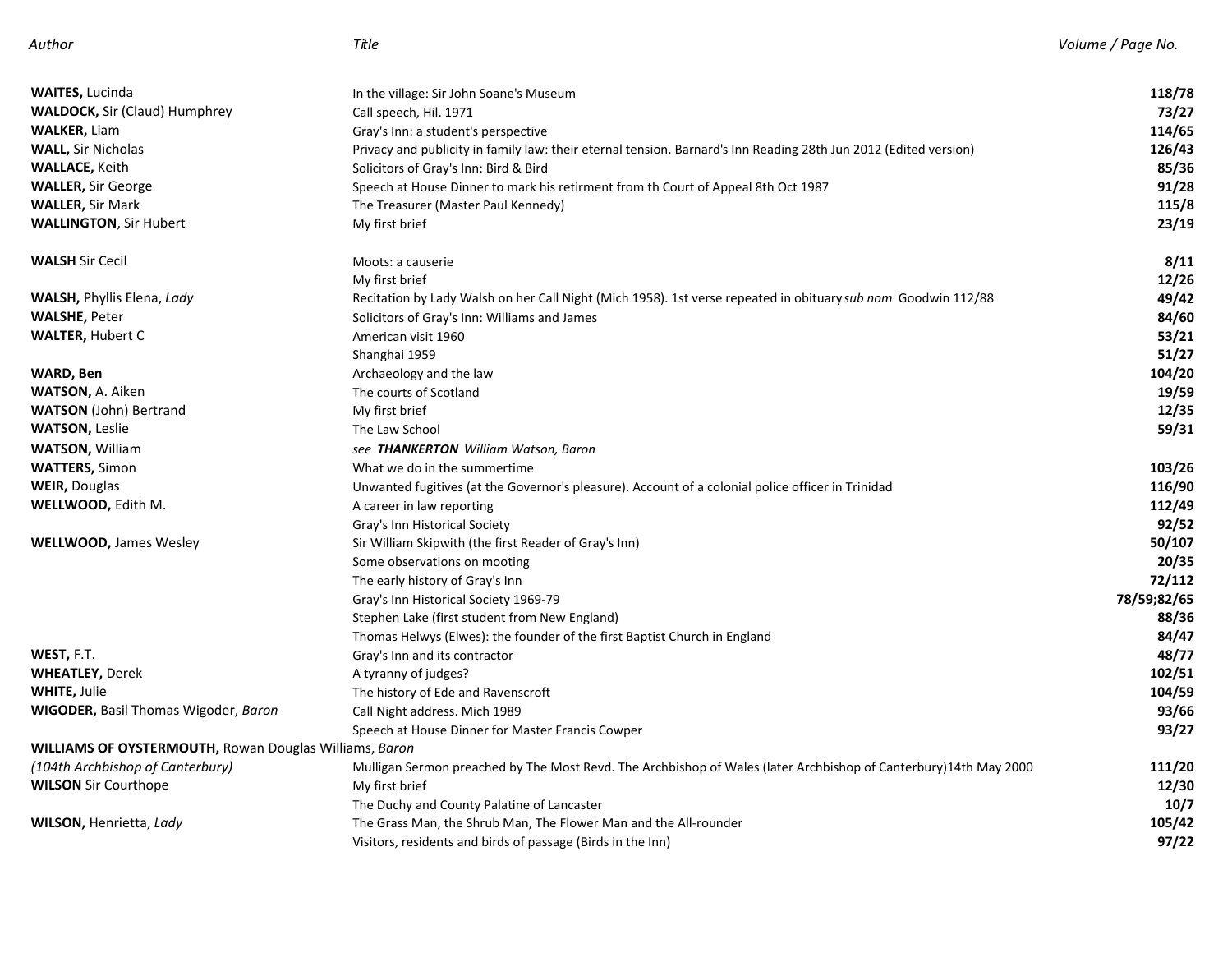| <b>WAITES, Lucinda</b>                                 | In the village: Sir John Soane's Museum                                                                          | 118/78      |
|--------------------------------------------------------|------------------------------------------------------------------------------------------------------------------|-------------|
| <b>WALDOCK, Sir (Claud) Humphrey</b>                   | Call speech, Hil. 1971                                                                                           | 73/27       |
| <b>WALKER, Liam</b>                                    | Gray's Inn: a student's perspective                                                                              | 114/65      |
| <b>WALL, Sir Nicholas</b>                              | Privacy and publicity in family law: their eternal tension. Barnard's Inn Reading 28th Jun 2012 (Edited version) | 126/43      |
| <b>WALLACE, Keith</b>                                  | Solicitors of Gray's Inn: Bird & Bird                                                                            | 85/36       |
| <b>WALLER, Sir George</b>                              | Speech at House Dinner to mark his retirment from th Court of Appeal 8th Oct 1987                                | 91/28       |
| <b>WALLER, Sir Mark</b>                                | The Treasurer (Master Paul Kennedy)                                                                              | 115/8       |
| <b>WALLINGTON, Sir Hubert</b>                          | My first brief                                                                                                   | 23/19       |
| <b>WALSH Sir Cecil</b>                                 | Moots: a causerie                                                                                                | 8/11        |
|                                                        | My first brief                                                                                                   | 12/26       |
| <b>WALSH, Phyllis Elena, Lady</b>                      | Recitation by Lady Walsh on her Call Night (Mich 1958). 1st verse repeated in obituary sub nom Goodwin 112/88    | 49/42       |
| <b>WALSHE, Peter</b>                                   | Solicitors of Gray's Inn: Williams and James                                                                     | 84/60       |
| <b>WALTER, Hubert C</b>                                | American visit 1960                                                                                              | 53/21       |
|                                                        | Shanghai 1959                                                                                                    | 51/27       |
| WARD, Ben                                              | Archaeology and the law                                                                                          | 104/20      |
| <b>WATSON, A. Aiken</b>                                | The courts of Scotland                                                                                           | 19/59       |
| <b>WATSON</b> (John) Bertrand                          | My first brief                                                                                                   | 12/35       |
| <b>WATSON, Leslie</b>                                  | The Law School                                                                                                   | 59/31       |
| <b>WATSON, William</b>                                 | see THANKERTON William Watson, Baron                                                                             |             |
| <b>WATTERS, Simon</b>                                  | What we do in the summertime                                                                                     | 103/26      |
| <b>WEIR, Douglas</b>                                   | Unwanted fugitives (at the Governor's pleasure). Account of a colonial police officer in Trinidad                | 116/90      |
| WELLWOOD, Edith M.                                     | A career in law reporting                                                                                        | 112/49      |
|                                                        | Gray's Inn Historical Society                                                                                    | 92/52       |
| <b>WELLWOOD, James Wesley</b>                          | Sir William Skipwith (the first Reader of Gray's Inn)                                                            | 50/107      |
|                                                        | Some observations on mooting                                                                                     | 20/35       |
|                                                        | The early history of Gray's Inn                                                                                  | 72/112      |
|                                                        | Gray's Inn Historical Society 1969-79                                                                            | 78/59;82/65 |
|                                                        | Stephen Lake (first student from New England)                                                                    | 88/36       |
|                                                        | Thomas Helwys (Elwes): the founder of the first Baptist Church in England                                        | 84/47       |
| WEST, F.T.                                             | Gray's Inn and its contractor                                                                                    | 48/77       |
| <b>WHEATLEY, Derek</b>                                 | A tyranny of judges?                                                                                             | 102/51      |
| <b>WHITE, Julie</b>                                    | The history of Ede and Ravenscroft                                                                               | 104/59      |
| <b>WIGODER, Basil Thomas Wigoder, Baron</b>            | Call Night address. Mich 1989                                                                                    | 93/66       |
|                                                        | Speech at House Dinner for Master Francis Cowper                                                                 | 93/27       |
| WILLIAMS OF OYSTERMOUTH, Rowan Douglas Williams, Baron |                                                                                                                  |             |
| (104th Archbishop of Canterbury)                       | Mulligan Sermon preached by The Most Revd. The Archbishop of Wales (later Archbishop of Canterbury)14th May 2000 | 111/20      |
| <b>WILSON Sir Courthope</b>                            | My first brief                                                                                                   | 12/30       |
|                                                        | The Duchy and County Palatine of Lancaster                                                                       | 10/7        |
| <b>WILSON, Henrietta, Lady</b>                         | The Grass Man, the Shrub Man, The Flower Man and the All-rounder                                                 | 105/42      |
|                                                        | Visitors, residents and birds of passage (Birds in the Inn)                                                      | 97/22       |